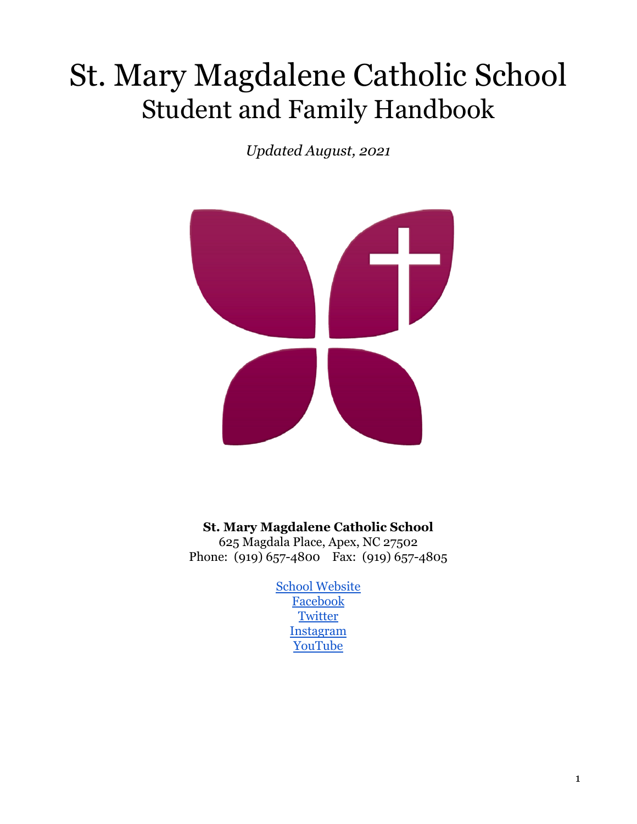# St. Mary Magdalene Catholic School Student and Family Handbook

*Updated August, 2021*



**St. Mary Magdalene Catholic School**

625 Magdala Place, Apex, NC 27502 Phone: (919) 657-4800 Fax: (919) 657-4805

> [School Website](http://www.school.stmm.net) [Facebook](https://business.facebook.com/stmarymagdalene.school) **[Twitter](https://twitter.com/StmmNc)** [Instagram](https://www.instagram.com/stmmnc/) [YouTube](https://www.youtube.com/channel/UCSoa7QKlsAZXRRQdBIm6Udw)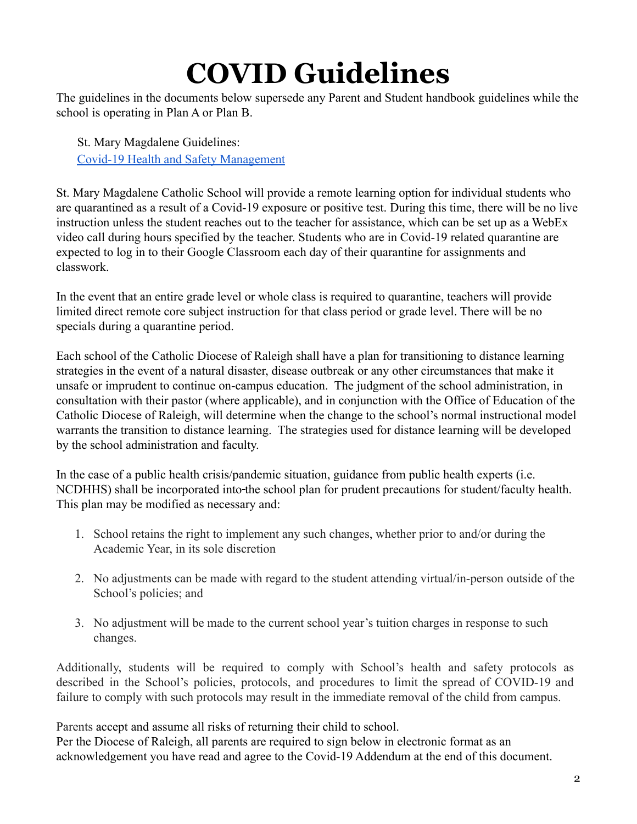# **COVID Guidelines**

The guidelines in the documents below supersede any Parent and Student handbook guidelines while the school is operating in Plan A or Plan B.

St. Mary Magdalene Guidelines: [Covid-19 Health and Safety Management](http://school.stmm.net/about/health-faq.cfm)

St. Mary Magdalene Catholic School will provide a remote learning option for individual students who are quarantined as a result of a Covid-19 exposure or positive test. During this time, there will be no live instruction unless the student reaches out to the teacher for assistance, which can be set up as a WebEx video call during hours specified by the teacher. Students who are in Covid-19 related quarantine are expected to log in to their Google Classroom each day of their quarantine for assignments and classwork.

In the event that an entire grade level or whole class is required to quarantine, teachers will provide limited direct remote core subject instruction for that class period or grade level. There will be no specials during a quarantine period.

Each school of the Catholic Diocese of Raleigh shall have a plan for transitioning to distance learning strategies in the event of a natural disaster, disease outbreak or any other circumstances that make it unsafe or imprudent to continue on-campus education. The judgment of the school administration, in consultation with their pastor (where applicable), and in conjunction with the Office of Education of the Catholic Diocese of Raleigh, will determine when the change to the school's normal instructional model warrants the transition to distance learning. The strategies used for distance learning will be developed by the school administration and faculty.

In the case of a public health crisis/pandemic situation, guidance from public health experts (i.e. NCDHHS) shall be incorporated into the school plan for prudent precautions for student/faculty health. This plan may be modified as necessary and:

- 1. School retains the right to implement any such changes, whether prior to and/or during the Academic Year, in its sole discretion
- 2. No adjustments can be made with regard to the student attending virtual/in-person outside of the School's policies; and
- 3. No adjustment will be made to the current school year's tuition charges in response to such changes.

Additionally, students will be required to comply with School's health and safety protocols as described in the School's policies, protocols, and procedures to limit the spread of COVID-19 and failure to comply with such protocols may result in the immediate removal of the child from campus.

Parents accept and assume all risks of returning their child to school.

Per the Diocese of Raleigh, all parents are required to sign below in electronic format as an acknowledgement you have read and agree to the Covid-19 Addendum at the end of this document.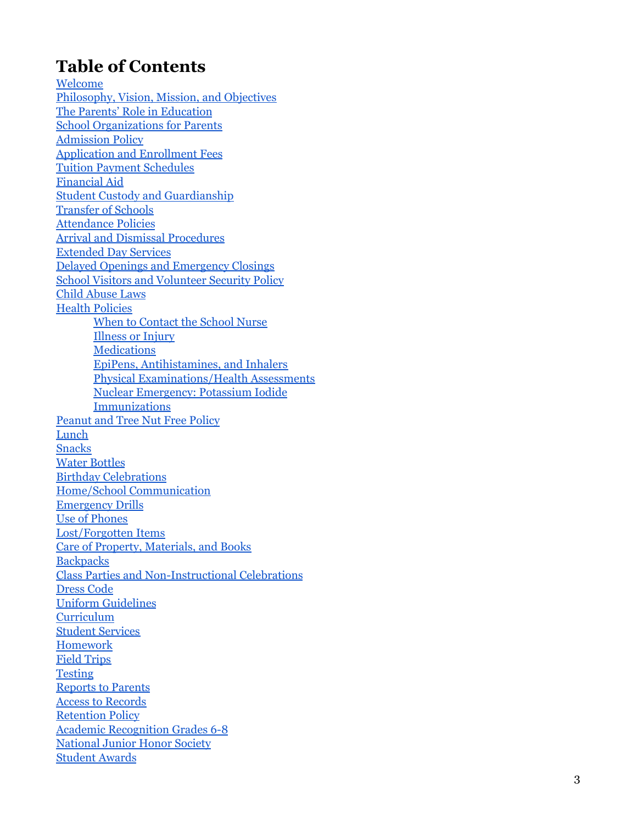### **Table of Contents**

[W](#page-4-0)elcome Philosophy, Vision, [M](#page-5-0)ission, and Objectives The Parents' [R](#page-6-0)ole in Education School Organizations [fo](#page-7-0)r Parents **Admission Poli[cy](#page-8-0) [Ap](#page-9-0)plication and Enrollment Fees** Tuition Pay[m](#page-9-1)ent Schedules <u>Financial [Ai](#page-9-2)d</u> Student Custody and [G](#page-9-3)uardianship Trans[fe](#page-10-0)r of Schools [At](#page-10-1)tendance Policies Arrival and Dis[m](#page-11-0)issal Procedures **Extended Day Se[rv](#page-13-0)ices** Delayed Openings and Emergen[cy](#page-14-0) Closings School Visitors and Volunteer Security Poli[cy](#page-14-1) Child [Ab](#page-15-0)use Laws [H](#page-15-1)ealth Policies [Wh](#page-15-2)en to Contact the School Nurse Illness or Inju[ry](#page-15-3) <u>[M](#page-16-0)edications</u> EpiPens, Antihista[m](#page-17-0)ines, and Inhalers Physical Exa[m](#page-17-1)inations/Health Assessments Nuclear Emergen[cy](#page-17-2): Potassium Iodide **I[m](#page-18-0)munizations** Peanut and Tree Nut Free Poli[cy](#page-18-1) <u>[L](#page-20-0)unch</u> **S[n](#page-20-1)acks** [W](#page-20-2)ater Bottles [B](#page-21-0)irthday Celebrations Ho[m](#page-21-1)e/School Communication **Emergen[cy](#page-22-0) Drills** [U](#page-22-1)se of Phones Lost/Forgotten Ite[m](#page-23-0)s Care of Property, [M](#page-23-1)aterials, and Books [B](#page-23-2)ackpacks Class Parties and [N](#page-23-3)on-Instructional Celebrations [D](#page-24-0)ress Code Unifor[m](#page-25-0) Guidelines Curriculu[m](#page-28-0) Student Se[rv](#page-28-1)ices Ho[m](#page-29-0)ework Field [T](#page-30-0)rips **[T](#page-30-1)esting** [R](#page-30-2)eports to Parents Access to [R](#page-31-0)ecords Retention Poli[cy](#page-31-1) Acade[m](#page-32-0)ic Recognition Grades 6-8 National Junior [H](#page-32-1)onor Society Student Awards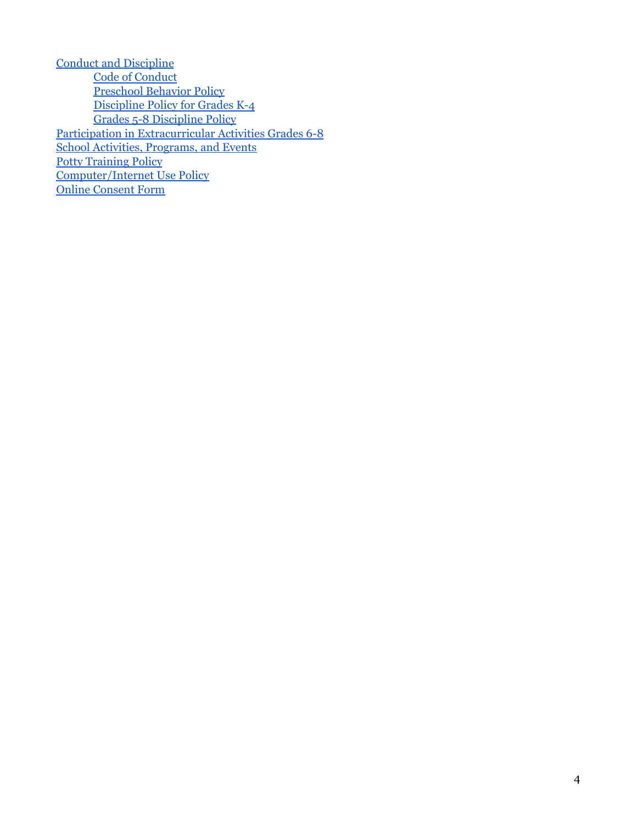| <b>Conduct and Discipline</b>                          |
|--------------------------------------------------------|
| <b>Code of Conduct</b>                                 |
| <b>Preschool Behavior Policy</b>                       |
| Discipline Policy for Grades K-4                       |
| <b>Grades 5-8 Discipline Policy</b>                    |
| Participation in Extracurricular Activities Grades 6-8 |
| <b>School Activities, Programs, and Events</b>         |
| <b>Potty Training Policy</b>                           |
| <b>Computer/Internet Use Policy</b>                    |
| <b>Online Consent Form</b>                             |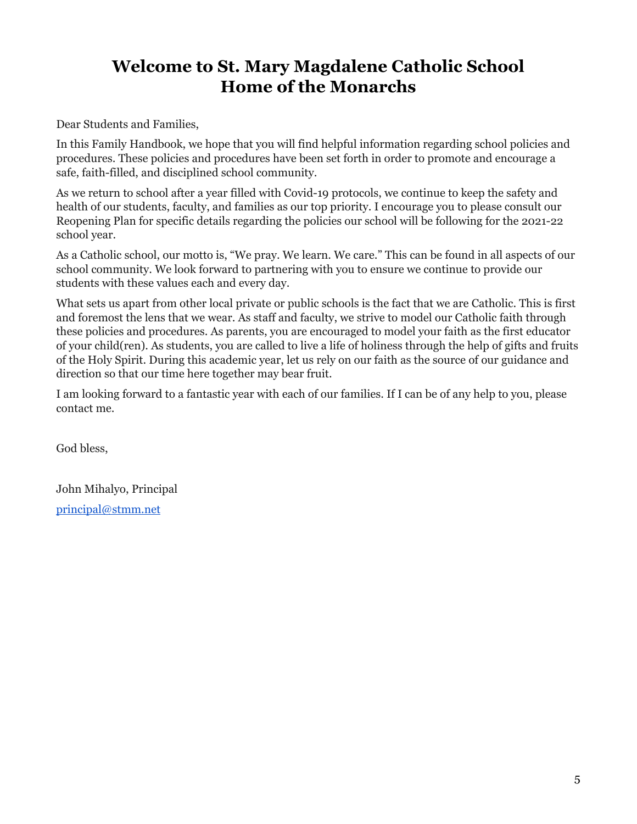### <span id="page-4-0"></span>**Welcome to St. Mary Magdalene Catholic School Home of the Monarchs**

Dear Students and Families,

In this Family Handbook, we hope that you will find helpful information regarding school policies and procedures. These policies and procedures have been set forth in order to promote and encourage a safe, faith-filled, and disciplined school community.

As we return to school after a year filled with Covid-19 protocols, we continue to keep the safety and health of our students, faculty, and families as our top priority. I encourage you to please consult our Reopening Plan for specific details regarding the policies our school will be following for the 2021-22 school year.

As a Catholic school, our motto is, "We pray. We learn. We care." This can be found in all aspects of our school community. We look forward to partnering with you to ensure we continue to provide our students with these values each and every day.

What sets us apart from other local private or public schools is the fact that we are Catholic. This is first and foremost the lens that we wear. As staff and faculty, we strive to model our Catholic faith through these policies and procedures. As parents, you are encouraged to model your faith as the first educator of your child(ren). As students, you are called to live a life of holiness through the help of gifts and fruits of the Holy Spirit. During this academic year, let us rely on our faith as the source of our guidance and direction so that our time here together may bear fruit.

I am looking forward to a fantastic year with each of our families. If I can be of any help to you, please contact me.

God bless,

John Mihalyo, Principal [principal@stmm.net](mailto:principal@stmm.net)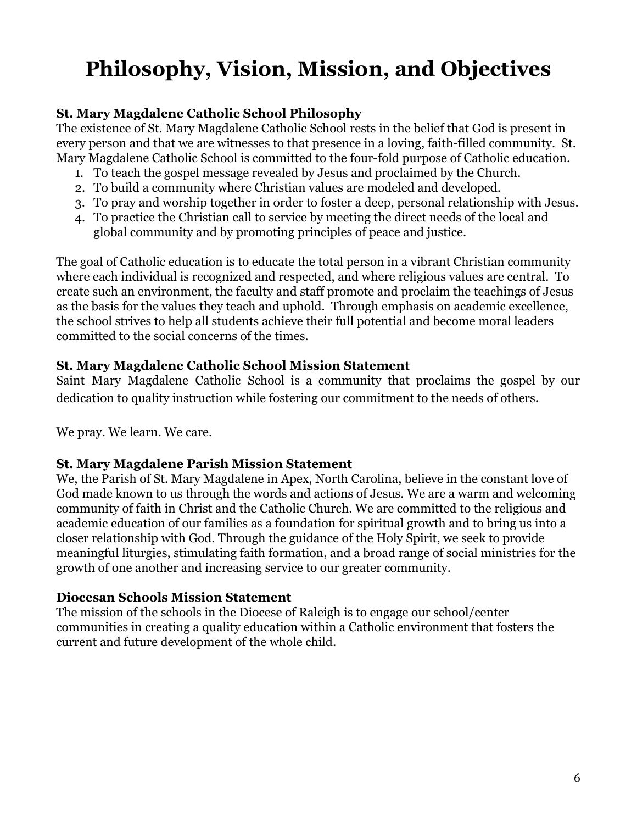# <span id="page-5-0"></span>**Philosophy, Vision, Mission, and Objectives**

#### **St. Mary Magdalene Catholic School Philosophy**

The existence of St. Mary Magdalene Catholic School rests in the belief that God is present in every person and that we are witnesses to that presence in a loving, faith-filled community. St. Mary Magdalene Catholic School is committed to the four-fold purpose of Catholic education.

- 1. To teach the gospel message revealed by Jesus and proclaimed by the Church.
- 2. To build a community where Christian values are modeled and developed.
- 3. To pray and worship together in order to foster a deep, personal relationship with Jesus.
- 4. To practice the Christian call to service by meeting the direct needs of the local and global community and by promoting principles of peace and justice.

The goal of Catholic education is to educate the total person in a vibrant Christian community where each individual is recognized and respected, and where religious values are central. To create such an environment, the faculty and staff promote and proclaim the teachings of Jesus as the basis for the values they teach and uphold. Through emphasis on academic excellence, the school strives to help all students achieve their full potential and become moral leaders committed to the social concerns of the times.

#### **St. Mary Magdalene Catholic School Mission Statement**

Saint Mary Magdalene Catholic School is a community that proclaims the gospel by our dedication to quality instruction while fostering our commitment to the needs of others.

We pray. We learn. We care.

#### **St. Mary Magdalene Parish Mission Statement**

We, the Parish of St. Mary Magdalene in Apex, North Carolina, believe in the constant love of God made known to us through the words and actions of Jesus. We are a warm and welcoming community of faith in Christ and the Catholic Church. We are committed to the religious and academic education of our families as a foundation for spiritual growth and to bring us into a closer relationship with God. Through the guidance of the Holy Spirit, we seek to provide meaningful liturgies, stimulating faith formation, and a broad range of social ministries for the growth of one another and increasing service to our greater community.

#### **Diocesan Schools Mission Statement**

The mission of the schools in the Diocese of Raleigh is to engage our school/center communities in creating a quality education within a Catholic environment that fosters the current and future development of the whole child.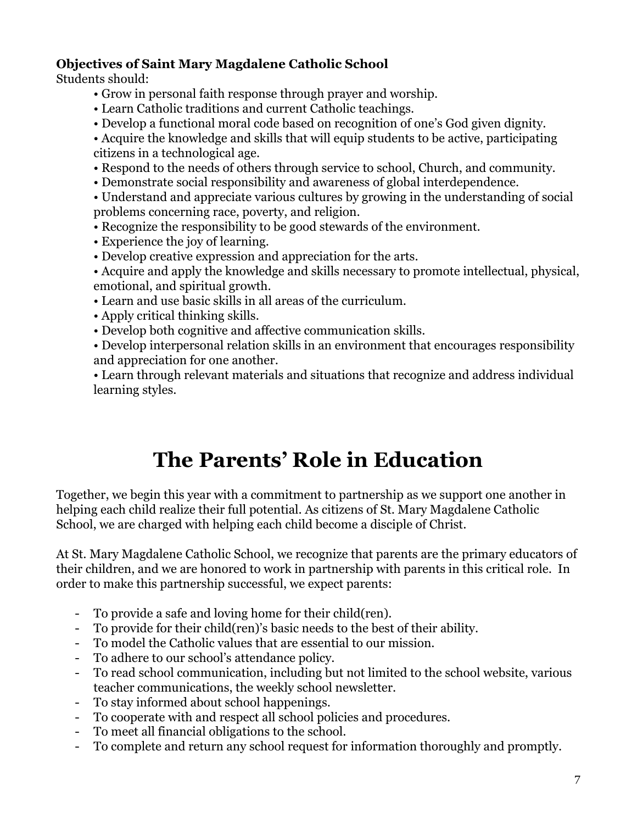#### **Objectives of Saint Mary Magdalene Catholic School**

Students should:

- Grow in personal faith response through prayer and worship.
- Learn Catholic traditions and current Catholic teachings.
- Develop a functional moral code based on recognition of one's God given dignity.
- Acquire the knowledge and skills that will equip students to be active, participating citizens in a technological age.
- Respond to the needs of others through service to school, Church, and community.
- Demonstrate social responsibility and awareness of global interdependence.

• Understand and appreciate various cultures by growing in the understanding of social problems concerning race, poverty, and religion.

- Recognize the responsibility to be good stewards of the environment.
- Experience the joy of learning.
- Develop creative expression and appreciation for the arts.

• Acquire and apply the knowledge and skills necessary to promote intellectual, physical, emotional, and spiritual growth.

• Learn and use basic skills in all areas of the curriculum.

• Apply critical thinking skills.

• Develop both cognitive and affective communication skills.

• Develop interpersonal relation skills in an environment that encourages responsibility and appreciation for one another.

• Learn through relevant materials and situations that recognize and address individual learning styles.

## **The Parents' Role in Education**

<span id="page-6-0"></span>Together, we begin this year with a commitment to partnership as we support one another in helping each child realize their full potential. As citizens of St. Mary Magdalene Catholic School, we are charged with helping each child become a disciple of Christ.

At St. Mary Magdalene Catholic School, we recognize that parents are the primary educators of their children, and we are honored to work in partnership with parents in this critical role. In order to make this partnership successful, we expect parents:

- To provide a safe and loving home for their child(ren).
- To provide for their child(ren)'s basic needs to the best of their ability.
- To model the Catholic values that are essential to our mission.
- To adhere to our school's attendance policy.
- To read school communication, including but not limited to the school website, various teacher communications, the weekly school newsletter.
- To stay informed about school happenings.
- To cooperate with and respect all school policies and procedures.
- To meet all financial obligations to the school.
- To complete and return any school request for information thoroughly and promptly.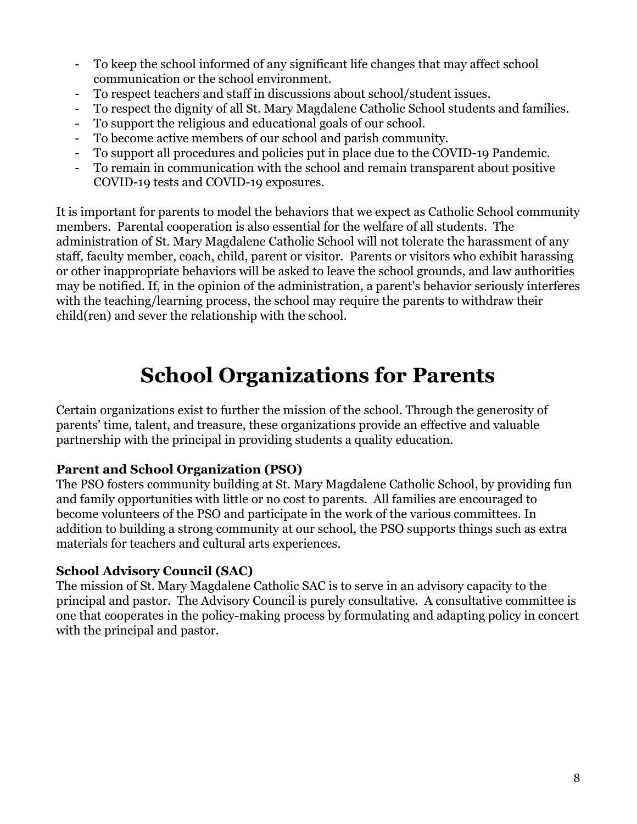- To keep the school informed of any significant life changes that may affect school communication or the school environment.
- To respect teachers and staff in discussions about school/student issues.
- To respect the dignity of all St. Mary Magdalene Catholic School students and families.
- To support the religious and educational goals of our school.
- To become active members of our school and parish community.
- To support all procedures and policies put in place due to the COVID-19 Pandemic.
- To remain in communication with the school and remain transparent about positive COVID-19 tests and COVID-19 exposures.

It is important for parents to model the behaviors that we expect as Catholic School community members. Parental cooperation is also essential for the welfare of all students. The administration of St. Mary Magdalene Catholic School will not tolerate the harassment of any staff, faculty member, coach, child, parent or visitor. Parents or visitors who exhibit harassing or other inappropriate behaviors will be asked to leave the school grounds, and law authorities may be notified. If, in the opinion of the administration, a parent's behavior seriously interferes with the teaching/learning process, the school may require the parents to withdraw their child(ren) and sever the relationship with the school.

## **School Organizations for Parents**

<span id="page-7-0"></span>Certain organizations exist to further the mission of the school. Through the generosity of parents' time, talent, and treasure, these organizations provide an effective and valuable partnership with the principal in providing students a quality education.

#### **Parent and School Organization (PSO)**

The PSO fosters community building at St. Mary Magdalene Catholic School, by providing fun and family opportunities with little or no cost to parents. All families are encouraged to become volunteers of the PSO and participate in the work of the various committees. In addition to building a strong community at our school, the PSO supports things such as extra materials for teachers and cultural arts experiences.

#### **School Advisory Council (SAC)**

The mission of St. Mary Magdalene Catholic SAC is to serve in an advisory capacity to the principal and pastor. The Advisory Council is purely consultative. A consultative committee is one that cooperates in the policy-making process by formulating and adapting policy in concert with the principal and pastor.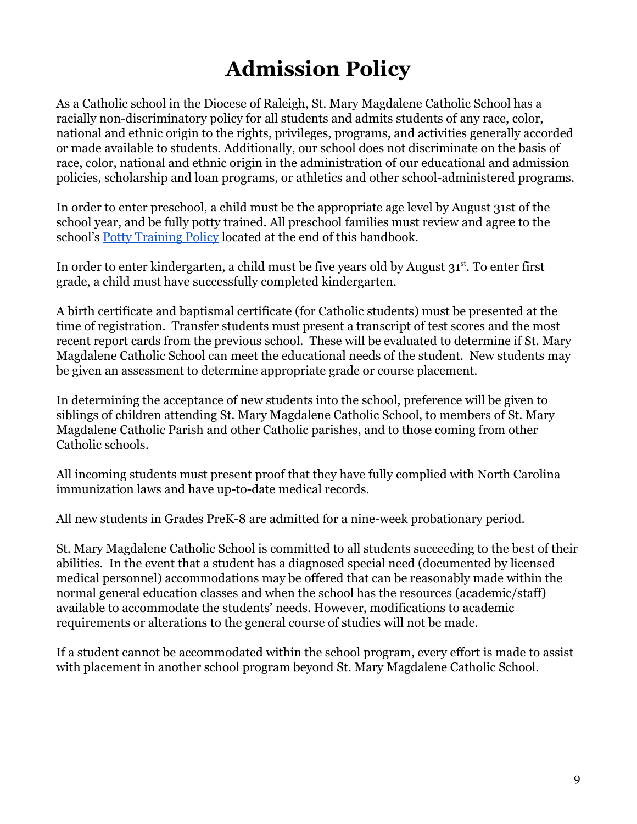## **Admission Policy**

<span id="page-8-0"></span>As a Catholic school in the Diocese of Raleigh, St. Mary Magdalene Catholic School has a racially non-discriminatory policy for all students and admits students of any race, color, national and ethnic origin to the rights, privileges, programs, and activities generally accorded or made available to students. Additionally, our school does not discriminate on the basis of race, color, national and ethnic origin in the administration of our educational and admission policies, scholarship and loan programs, or athletics and other school-administered programs.

In order to enter preschool, a child must be the appropriate age level by August 31st of the school year, and be fully potty trained. All preschool families must review and agree to the school's [Potty Training Policy](#page-43-0) located at the end of this handbook.

In order to enter kindergarten, a child must be five years old by August  $31<sup>st</sup>$ . To enter first grade, a child must have successfully completed kindergarten.

A birth certificate and baptismal certificate (for Catholic students) must be presented at the time of registration. Transfer students must present a transcript of test scores and the most recent report cards from the previous school. These will be evaluated to determine if St. Mary Magdalene Catholic School can meet the educational needs of the student. New students may be given an assessment to determine appropriate grade or course placement.

In determining the acceptance of new students into the school, preference will be given to siblings of children attending St. Mary Magdalene Catholic School, to members of St. Mary Magdalene Catholic Parish and other Catholic parishes, and to those coming from other Catholic schools.

All incoming students must present proof that they have fully complied with North Carolina immunization laws and have up-to-date medical records.

All new students in Grades PreK-8 are admitted for a nine-week probationary period.

St. Mary Magdalene Catholic School is committed to all students succeeding to the best of their abilities. In the event that a student has a diagnosed special need (documented by licensed medical personnel) accommodations may be offered that can be reasonably made within the normal general education classes and when the school has the resources (academic/staff) available to accommodate the students' needs. However, modifications to academic requirements or alterations to the general course of studies will not be made.

If a student cannot be accommodated within the school program, every effort is made to assist with placement in another school program beyond St. Mary Magdalene Catholic School.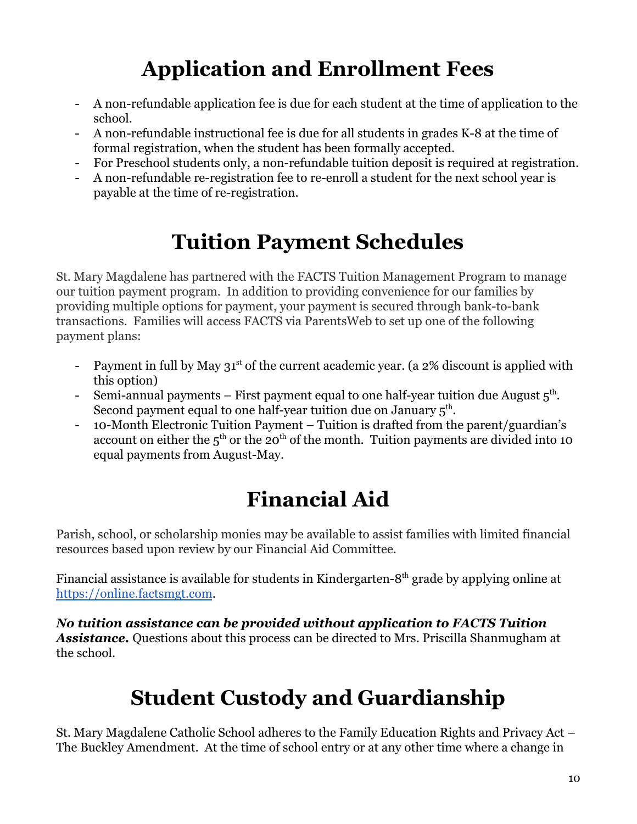# **Application and Enrollment Fees**

- <span id="page-9-0"></span>- A non-refundable application fee is due for each student at the time of application to the school.
- A non-refundable instructional fee is due for all students in grades K-8 at the time of formal registration, when the student has been formally accepted.
- For Preschool students only, a non-refundable tuition deposit is required at registration.
- A non-refundable re-registration fee to re-enroll a student for the next school year is payable at the time of re-registration.

# **Tuition Payment Schedules**

<span id="page-9-1"></span>St. Mary Magdalene has partnered with the FACTS Tuition Management Program to manage our tuition payment program. In addition to providing convenience for our families by providing multiple options for payment, your payment is secured through bank-to-bank transactions. Families will access FACTS via ParentsWeb to set up one of the following payment plans:

- Payment in full by May  $31<sup>st</sup>$  of the current academic year. (a 2% discount is applied with this option)
- Semi-annual payments First payment equal to one half-year tuition due August  $5<sup>th</sup>$ . Second payment equal to one half-year tuition due on January  $5^{\text{th}}$ .
- 10-Month Electronic Tuition Payment Tuition is drafted from the parent/guardian's account on either the  $5<sup>th</sup>$  or the 20<sup>th</sup> of the month. Tuition payments are divided into 10 equal payments from August-May.

# **Financial Aid**

<span id="page-9-2"></span>Parish, school, or scholarship monies may be available to assist families with limited financial resources based upon review by our Financial Aid Committee.

Financial assistance is available for students in Kindergarten-8<sup>th</sup> grade by applying online at <https://online.factsmgt.com>.

*No tuition assistance can be provided without application to FACTS Tuition Assistance.* Questions about this process can be directed to Mrs. Priscilla Shanmugham at the school.

# **Student Custody and Guardianship**

<span id="page-9-3"></span>St. Mary Magdalene Catholic School adheres to the Family Education Rights and Privacy Act – The Buckley Amendment. At the time of school entry or at any other time where a change in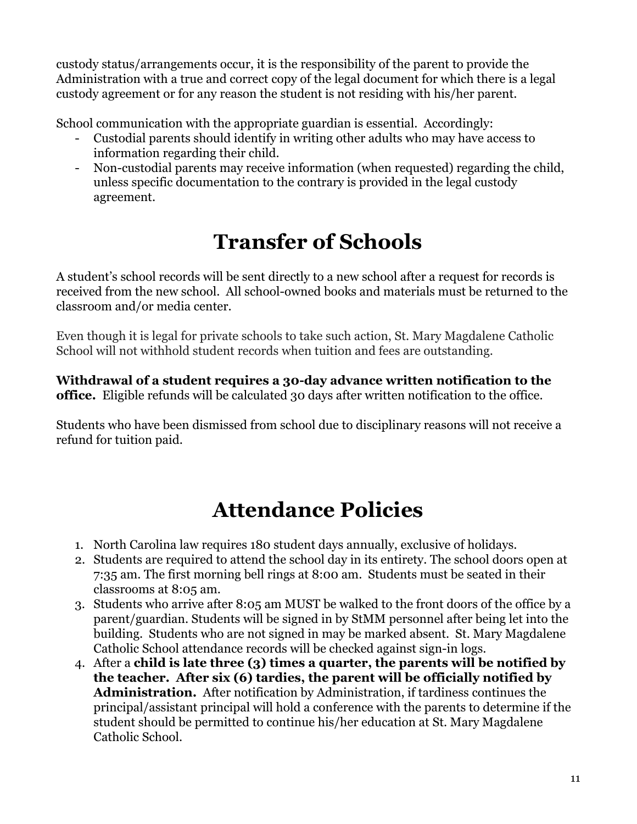custody status/arrangements occur, it is the responsibility of the parent to provide the Administration with a true and correct copy of the legal document for which there is a legal custody agreement or for any reason the student is not residing with his/her parent.

School communication with the appropriate guardian is essential. Accordingly:

- Custodial parents should identify in writing other adults who may have access to information regarding their child.
- Non-custodial parents may receive information (when requested) regarding the child, unless specific documentation to the contrary is provided in the legal custody agreement.

# **Transfer of Schools**

<span id="page-10-0"></span>A student's school records will be sent directly to a new school after a request for records is received from the new school. All school-owned books and materials must be returned to the classroom and/or media center.

Even though it is legal for private schools to take such action, St. Mary Magdalene Catholic School will not withhold student records when tuition and fees are outstanding.

**Withdrawal of a student requires a 30-day advance written notification to the office.** Eligible refunds will be calculated 30 days after written notification to the office.

Students who have been dismissed from school due to disciplinary reasons will not receive a refund for tuition paid.

## **Attendance Policies**

- <span id="page-10-1"></span>1. North Carolina law requires 180 student days annually, exclusive of holidays.
- 2. Students are required to attend the school day in its entirety. The school doors open at 7:35 am. The first morning bell rings at 8:00 am. Students must be seated in their classrooms at 8:05 am.
- 3. Students who arrive after 8:05 am MUST be walked to the front doors of the office by a parent/guardian. Students will be signed in by StMM personnel after being let into the building. Students who are not signed in may be marked absent. St. Mary Magdalene Catholic School attendance records will be checked against sign-in logs.
- 4. After a **child is late three (3) times a quarter, the parents will be notified by the teacher. After six (6) tardies, the parent will be officially notified by Administration.** After notification by Administration, if tardiness continues the principal/assistant principal will hold a conference with the parents to determine if the student should be permitted to continue his/her education at St. Mary Magdalene Catholic School.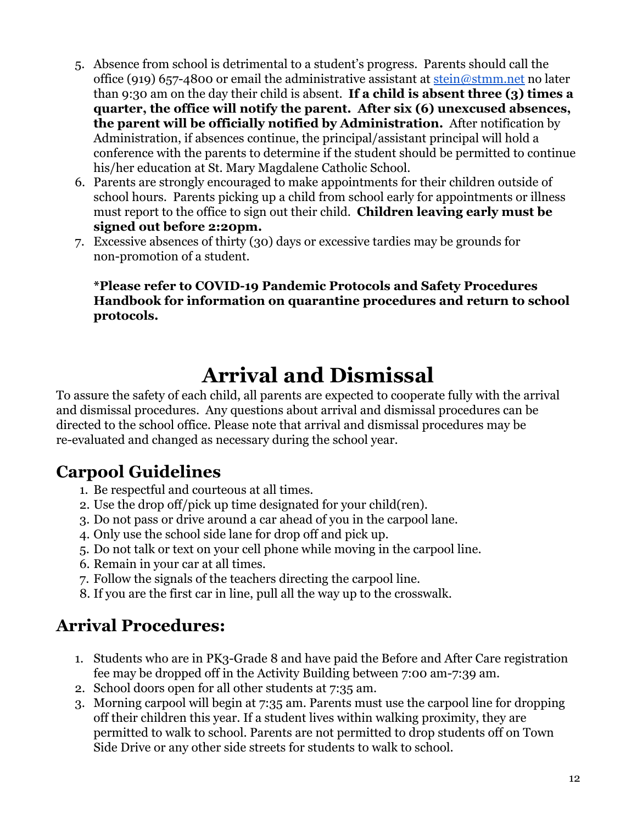- 5. Absence from school is detrimental to a student's progress. Parents should call the office (919) 657-4800 or email the administrative assistant at [stein@stmm.net](mailto:stein@stmm.net) no later than 9:30 am on the day their child is absent. **If a child is absent three (3) times a quarter, the office will notify the parent. After six (6) unexcused absences, the parent will be officially notified by Administration.** After notification by Administration, if absences continue, the principal/assistant principal will hold a conference with the parents to determine if the student should be permitted to continue his/her education at St. Mary Magdalene Catholic School.
- 6. Parents are strongly encouraged to make appointments for their children outside of school hours. Parents picking up a child from school early for appointments or illness must report to the office to sign out their child. **Children leaving early must be signed out before 2:20pm.**
- 7. Excessive absences of thirty (30) days or excessive tardies may be grounds for non-promotion of a student.

**\*Please refer to COVID-19 Pandemic Protocols and Safety Procedures Handbook for information on quarantine procedures and return to school protocols.**

## **Arrival and Dismissal**

<span id="page-11-0"></span>To assure the safety of each child, all parents are expected to cooperate fully with the arrival and dismissal procedures. Any questions about arrival and dismissal procedures can be directed to the school office. Please note that arrival and dismissal procedures may be re-evaluated and changed as necessary during the school year.

### **Carpool Guidelines**

- 1. Be respectful and courteous at all times.
- 2. Use the drop off/pick up time designated for your child(ren).
- 3. Do not pass or drive around a car ahead of you in the carpool lane.
- 4. Only use the school side lane for drop off and pick up.
- 5. Do not talk or text on your cell phone while moving in the carpool line.
- 6. Remain in your car at all times.
- 7. Follow the signals of the teachers directing the carpool line.
- 8. If you are the first car in line, pull all the way up to the crosswalk.

### **Arrival Procedures:**

- 1. Students who are in PK3-Grade 8 and have paid the Before and After Care registration fee may be dropped off in the Activity Building between 7:00 am-7:39 am.
- 2. School doors open for all other students at 7:35 am.
- 3. Morning carpool will begin at 7:35 am. Parents must use the carpool line for dropping off their children this year. If a student lives within walking proximity, they are permitted to walk to school. Parents are not permitted to drop students off on Town Side Drive or any other side streets for students to walk to school.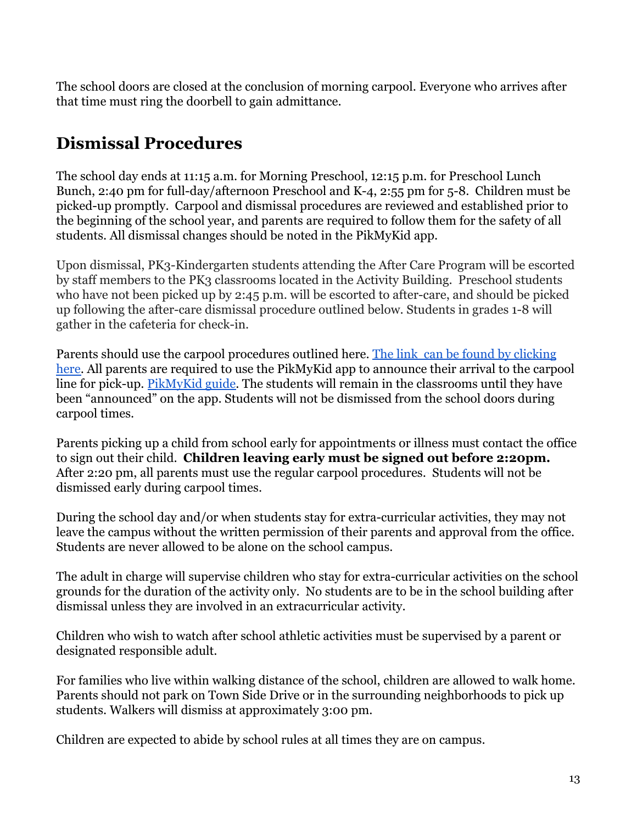The school doors are closed at the conclusion of morning carpool. Everyone who arrives after that time must ring the doorbell to gain admittance.

### **Dismissal Procedures**

The school day ends at 11:15 a.m. for Morning Preschool, 12:15 p.m. for Preschool Lunch Bunch, 2:40 pm for full-day/afternoon Preschool and K-4, 2:55 pm for 5-8. Children must be picked-up promptly. Carpool and dismissal procedures are reviewed and established prior to the beginning of the school year, and parents are required to follow them for the safety of all students. All dismissal changes should be noted in the PikMyKid app.

Upon dismissal, PK3-Kindergarten students attending the After Care Program will be escorted by staff members to the PK3 classrooms located in the Activity Building. Preschool students who have not been picked up by 2:45 p.m. will be escorted to after-care, and should be picked up following the after-care dismissal procedure outlined below. Students in grades 1-8 will gather in the cafeteria for check-in.

Parents should use the carpool procedures outlined here. [The link can be found by clicking](https://docs.google.com/document/d/e/2PACX-1vSgSmycpriVzPQOfa5poeQ-G7YoRtE0F-NyNNoLUm-H3WlMOqdD_2FBKlQqJB9s86BfBk5wVmRJNhbV/pub) [here.](https://docs.google.com/document/d/e/2PACX-1vSgSmycpriVzPQOfa5poeQ-G7YoRtE0F-NyNNoLUm-H3WlMOqdD_2FBKlQqJB9s86BfBk5wVmRJNhbV/pub) All parents are required to use the PikMyKid app to announce their arrival to the carpool line for pick-up. [PikMyKid guide.](https://docs.google.com/document/d/e/2PACX-1vSCbLBYgMuyG-b0uwq8AzwThvSCzsVQaqYmEgCXwjj3VLpru7atfvt2GAYoIADoMX55BCff1MgOgoHS/pub) The students will remain in the classrooms until they have been "announced" on the app. Students will not be dismissed from the school doors during carpool times.

Parents picking up a child from school early for appointments or illness must contact the office to sign out their child. **Children leaving early must be signed out before 2:20pm.** After 2:20 pm, all parents must use the regular carpool procedures. Students will not be dismissed early during carpool times.

During the school day and/or when students stay for extra-curricular activities, they may not leave the campus without the written permission of their parents and approval from the office. Students are never allowed to be alone on the school campus.

The adult in charge will supervise children who stay for extra-curricular activities on the school grounds for the duration of the activity only. No students are to be in the school building after dismissal unless they are involved in an extracurricular activity.

Children who wish to watch after school athletic activities must be supervised by a parent or designated responsible adult.

For families who live within walking distance of the school, children are allowed to walk home. Parents should not park on Town Side Drive or in the surrounding neighborhoods to pick up students. Walkers will dismiss at approximately 3:00 pm.

Children are expected to abide by school rules at all times they are on campus.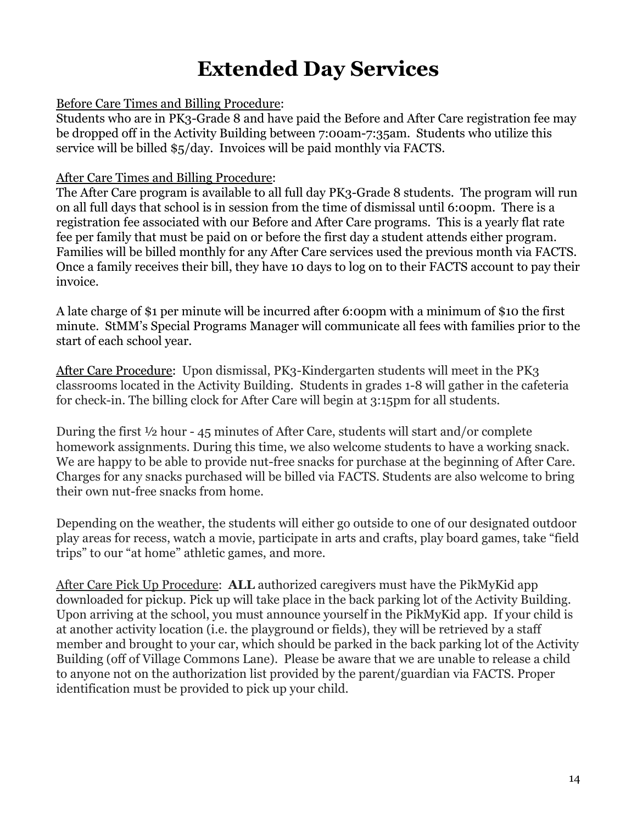## **Extended Day Services**

#### <span id="page-13-0"></span>Before Care Times and Billing Procedure:

Students who are in PK3-Grade 8 and have paid the Before and After Care registration fee may be dropped off in the Activity Building between 7:00am-7:35am. Students who utilize this service will be billed \$5/day. Invoices will be paid monthly via FACTS.

#### After Care Times and Billing Procedure:

The After Care program is available to all full day PK3-Grade 8 students. The program will run on all full days that school is in session from the time of dismissal until 6:00pm. There is a registration fee associated with our Before and After Care programs. This is a yearly flat rate fee per family that must be paid on or before the first day a student attends either program. Families will be billed monthly for any After Care services used the previous month via FACTS. Once a family receives their bill, they have 10 days to log on to their FACTS account to pay their invoice.

A late charge of \$1 per minute will be incurred after 6:00pm with a minimum of \$10 the first minute. StMM's Special Programs Manager will communicate all fees with families prior to the start of each school year.

After Care Procedure: Upon dismissal, PK3-Kindergarten students will meet in the PK3 classrooms located in the Activity Building. Students in grades 1-8 will gather in the cafeteria for check-in. The billing clock for After Care will begin at 3:15pm for all students.

During the first ½ hour - 45 minutes of After Care, students will start and/or complete homework assignments. During this time, we also welcome students to have a working snack. We are happy to be able to provide nut-free snacks for purchase at the beginning of After Care. Charges for any snacks purchased will be billed via FACTS. Students are also welcome to bring their own nut-free snacks from home.

Depending on the weather, the students will either go outside to one of our designated outdoor play areas for recess, watch a movie, participate in arts and crafts, play board games, take "field trips" to our "at home" athletic games, and more.

After Care Pick Up Procedure: **ALL** authorized caregivers must have the PikMyKid app downloaded for pickup. Pick up will take place in the back parking lot of the Activity Building. Upon arriving at the school, you must announce yourself in the PikMyKid app. If your child is at another activity location (i.e. the playground or fields), they will be retrieved by a staff member and brought to your car, which should be parked in the back parking lot of the Activity Building (off of Village Commons Lane). Please be aware that we are unable to release a child to anyone not on the authorization list provided by the parent/guardian via FACTS. Proper identification must be provided to pick up your child.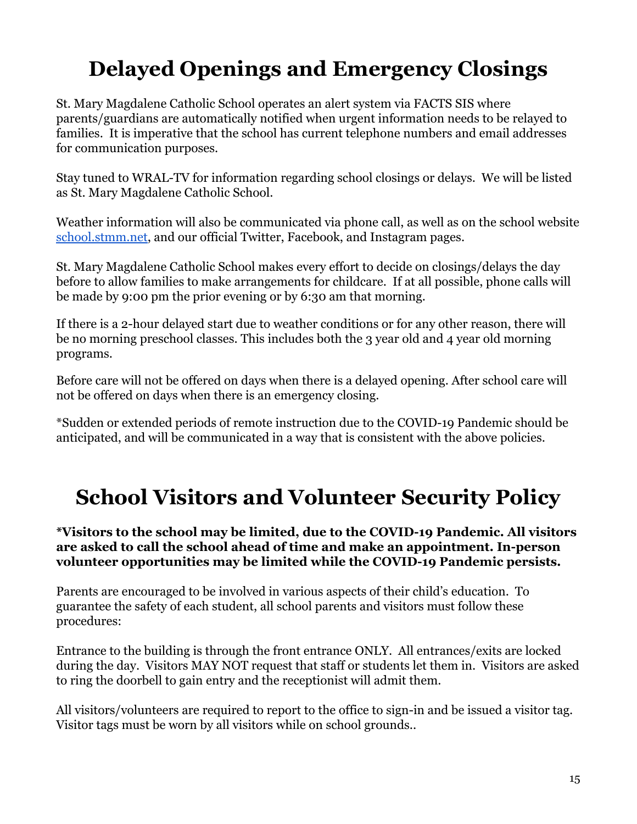# <span id="page-14-0"></span>**Delayed Openings and Emergency Closings**

St. Mary Magdalene Catholic School operates an alert system via FACTS SIS where parents/guardians are automatically notified when urgent information needs to be relayed to families. It is imperative that the school has current telephone numbers and email addresses for communication purposes.

Stay tuned to WRAL-TV for information regarding school closings or delays. We will be listed as St. Mary Magdalene Catholic School.

Weather information will also be communicated via phone call, as well as on the school website [school.stmm.net,](http://school.stmm.net) and our official Twitter, Facebook, and Instagram pages.

St. Mary Magdalene Catholic School makes every effort to decide on closings/delays the day before to allow families to make arrangements for childcare. If at all possible, phone calls will be made by 9:00 pm the prior evening or by 6:30 am that morning.

If there is a 2-hour delayed start due to weather conditions or for any other reason, there will be no morning preschool classes. This includes both the 3 year old and 4 year old morning programs.

Before care will not be offered on days when there is a delayed opening. After school care will not be offered on days when there is an emergency closing.

\*Sudden or extended periods of remote instruction due to the COVID-19 Pandemic should be anticipated, and will be communicated in a way that is consistent with the above policies.

## <span id="page-14-1"></span>**School Visitors and Volunteer Security Policy**

**\*Visitors to the school may be limited, due to the COVID-19 Pandemic. All visitors are asked to call the school ahead of time and make an appointment. In-person volunteer opportunities may be limited while the COVID-19 Pandemic persists.**

Parents are encouraged to be involved in various aspects of their child's education. To guarantee the safety of each student, all school parents and visitors must follow these procedures:

Entrance to the building is through the front entrance ONLY. All entrances/exits are locked during the day. Visitors MAY NOT request that staff or students let them in. Visitors are asked to ring the doorbell to gain entry and the receptionist will admit them.

All visitors/volunteers are required to report to the office to sign-in and be issued a visitor tag. Visitor tags must be worn by all visitors while on school grounds..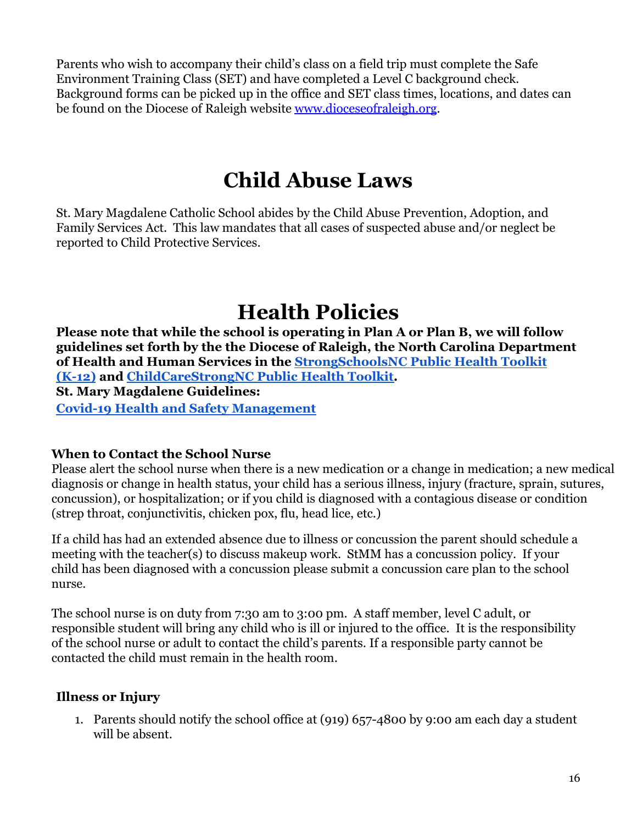Parents who wish to accompany their child's class on a field trip must complete the Safe Environment Training Class (SET) and have completed a Level C background check. Background forms can be picked up in the office and SET class times, locations, and dates can be found on the Diocese of Raleigh website [www.dioceseofraleigh.org](http://www.dioceseofraleigh.org).

### **Child Abuse Laws**

<span id="page-15-0"></span>St. Mary Magdalene Catholic School abides by the Child Abuse Prevention, Adoption, and Family Services Act. This law mandates that all cases of suspected abuse and/or neglect be reported to Child Protective Services.

### **Health Policies**

<span id="page-15-1"></span>**Please note that while the school is operating in Plan A or Plan B, we will follow guidelines set forth by the the Diocese of Raleigh, the North Carolina Department of Health and Human Services in the StrongSchoolsNC [Public Health Toolkit](https://covid19.ncdhhs.gov/media/164/download) [\(K-12\)](https://covid19.ncdhhs.gov/media/164/download) and [ChildCareStrongNC Public Health Toolkit.](https://covid19.ncdhhs.gov/media/3091/open) St. Mary Magdalene Guidelines: [Covid-19 Health and Safety Management](http://school.stmm.net/about/health-faq.cfm)**

#### <span id="page-15-2"></span>**When to Contact the School Nurse**

Please alert the school nurse when there is a new medication or a change in medication; a new medical diagnosis or change in health status, your child has a serious illness, injury (fracture, sprain, sutures, concussion), or hospitalization; or if you child is diagnosed with a contagious disease or condition (strep throat, conjunctivitis, chicken pox, flu, head lice, etc.)

If a child has had an extended absence due to illness or concussion the parent should schedule a meeting with the teacher(s) to discuss makeup work. StMM has a concussion policy. If your child has been diagnosed with a concussion please submit a concussion care plan to the school nurse.

The school nurse is on duty from 7:30 am to 3:00 pm. A staff member, level C adult, or responsible student will bring any child who is ill or injured to the office. It is the responsibility of the school nurse or adult to contact the child's parents. If a responsible party cannot be contacted the child must remain in the health room.

#### <span id="page-15-3"></span>**Illness or Injury**

1. Parents should notify the school office at (919) 657-4800 by 9:00 am each day a student will be absent.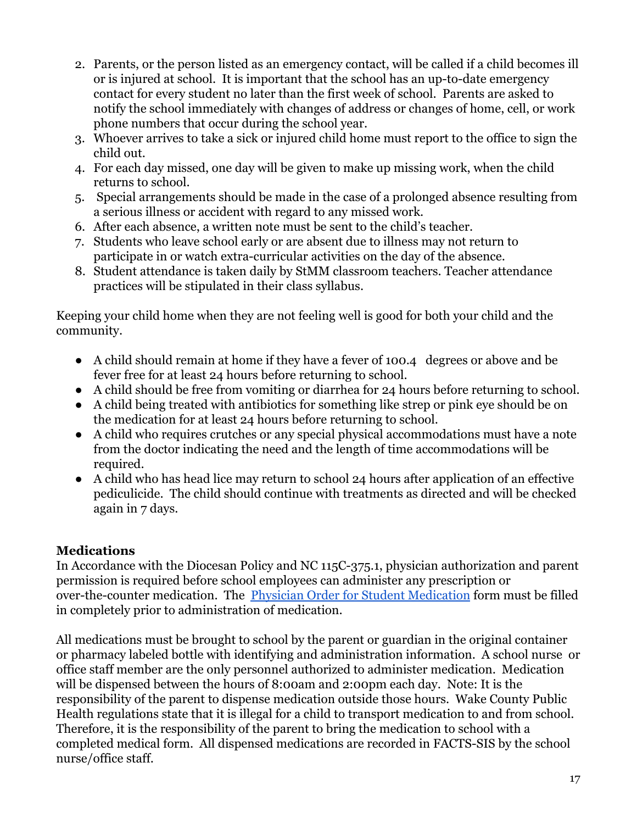- 2. Parents, or the person listed as an emergency contact, will be called if a child becomes ill or is injured at school. It is important that the school has an up-to-date emergency contact for every student no later than the first week of school. Parents are asked to notify the school immediately with changes of address or changes of home, cell, or work phone numbers that occur during the school year.
- 3. Whoever arrives to take a sick or injured child home must report to the office to sign the child out.
- 4. For each day missed, one day will be given to make up missing work, when the child returns to school.
- 5. Special arrangements should be made in the case of a prolonged absence resulting from a serious illness or accident with regard to any missed work.
- 6. After each absence, a written note must be sent to the child's teacher.
- 7. Students who leave school early or are absent due to illness may not return to participate in or watch extra-curricular activities on the day of the absence.
- 8. Student attendance is taken daily by StMM classroom teachers. Teacher attendance practices will be stipulated in their class syllabus.

Keeping your child home when they are not feeling well is good for both your child and the community.

- A child should remain at home if they have a fever of 100.4 degrees or above and be fever free for at least 24 hours before returning to school.
- A child should be free from vomiting or diarrhea for 24 hours before returning to school.
- A child being treated with antibiotics for something like strep or pink eye should be on the medication for at least 24 hours before returning to school.
- A child who requires crutches or any special physical accommodations must have a note from the doctor indicating the need and the length of time accommodations will be required.
- A child who has head lice may return to school 24 hours after application of an effective pediculicide. The child should continue with treatments as directed and will be checked again in 7 days.

#### <span id="page-16-0"></span>**Medications**

In Accordance with the Diocesan Policy and NC 115C-375.1, physician authorization and parent permission is required before school employees can administer any prescription or over-the-counter medication. The Physician Order [for Student Medication](http://school.stmm.net/Physican_Order_for_Student_Medication.pdf) form must be filled in completely prior to administration of medication.

All medications must be brought to school by the parent or guardian in the original container or pharmacy labeled bottle with identifying and administration information. A school nurse or office staff member are the only personnel authorized to administer medication. Medication will be dispensed between the hours of 8:00am and 2:00pm each day. Note: It is the responsibility of the parent to dispense medication outside those hours. Wake County Public Health regulations state that it is illegal for a child to transport medication to and from school. Therefore, it is the responsibility of the parent to bring the medication to school with a completed medical form. All dispensed medications are recorded in FACTS-SIS by the school nurse/office staff.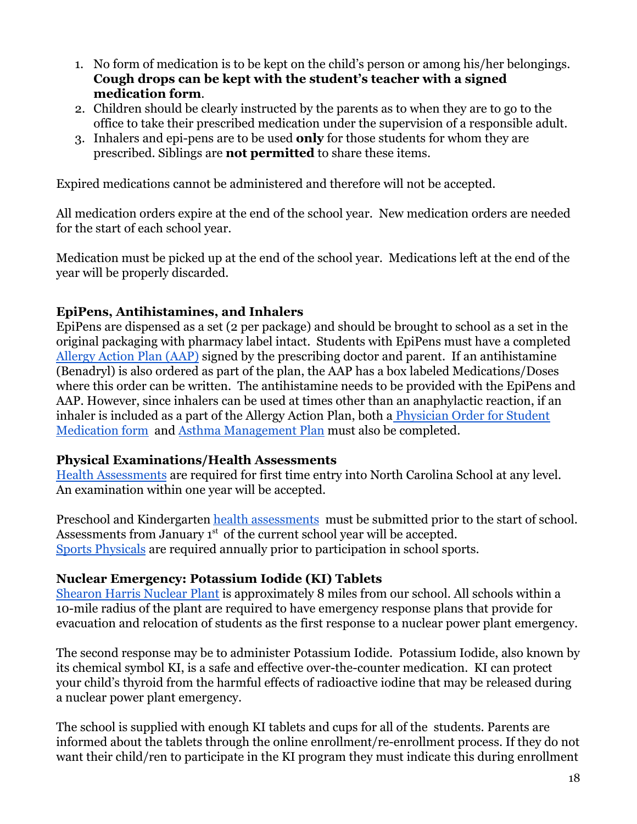- 1. No form of medication is to be kept on the child's person or among his/her belongings. **Cough drops can be kept with the student's teacher with a signed medication form**.
- 2. Children should be clearly instructed by the parents as to when they are to go to the office to take their prescribed medication under the supervision of a responsible adult.
- 3. Inhalers and epi-pens are to be used **only** for those students for whom they are prescribed. Siblings are **not permitted** to share these items.

Expired medications cannot be administered and therefore will not be accepted.

All medication orders expire at the end of the school year. New medication orders are needed for the start of each school year.

Medication must be picked up at the end of the school year. Medications left at the end of the year will be properly discarded.

#### <span id="page-17-0"></span>**EpiPens, Antihistamines, and Inhalers**

EpiPens are dispensed as a set (2 per package) and should be brought to school as a set in the original packaging with pharmacy label intact. Students with EpiPens must have a completed [Allergy Action Plan \(AAP\)](http://school.stmm.net/FARE_AAP_2019.pdf) signed by the prescribing doctor and parent. If an antihistamine (Benadryl) is also ordered as part of the plan, the AAP has a box labeled Medications/Doses where this order can be written. The antihistamine needs to be provided with the EpiPens and AAP. However, since inhalers can be used at times other than an anaphylactic reaction, if an inhaler is included as a part of the Allergy Action Plan, both a [Physician Order for Student](http://school.stmm.net/admissions/health-and-wellness.cfm) [Medication form](http://school.stmm.net/admissions/health-and-wellness.cfm) and [Asthma Management Plan](http://school.stmm.net/2020_Asthma_Action_Plan.pdf) must also be completed.

#### <span id="page-17-1"></span>**Physical Examinations/Health Assessments**

[Health Assessments](http://school.stmm.net/StMM_Health_Form_1.pdf) are required for first time entry into North Carolina School at any level. An examination within one year will be accepted.

Preschool and Kindergarten [health assessments](http://school.stmm.net/StMM_Health_Form_1.pdf) must be submitted prior to the start of school. Assessments from January  $1<sup>st</sup>$  of the current school year will be accepted. [Sports Physicals](http://school.stmm.net/copy112522_Athletic_Permission_and_Physical_Form.pdf) are required annually prior to participation in school sports.

#### <span id="page-17-2"></span>**Nuclear Emergency: Potassium Iodide (KI) Tablets**

[Shearon Harris Nuclear Plant](https://www.duke-energy.com/Safety-and-Preparedness/Nuclear-Safety/Harris) is approximately 8 miles from our school. All schools within a 10-mile radius of the plant are required to have emergency response plans that provide for evacuation and relocation of students as the first response to a nuclear power plant emergency.

The second response may be to administer Potassium Iodide. Potassium Iodide, also known by its chemical symbol KI, is a safe and effective over-the-counter medication. KI can protect your child's thyroid from the harmful effects of radioactive iodine that may be released during a nuclear power plant emergency.

The school is supplied with enough KI tablets and cups for all of the students. Parents are informed about the tablets through the online enrollment/re-enrollment process. If they do not want their child/ren to participate in the KI program they must indicate this during enrollment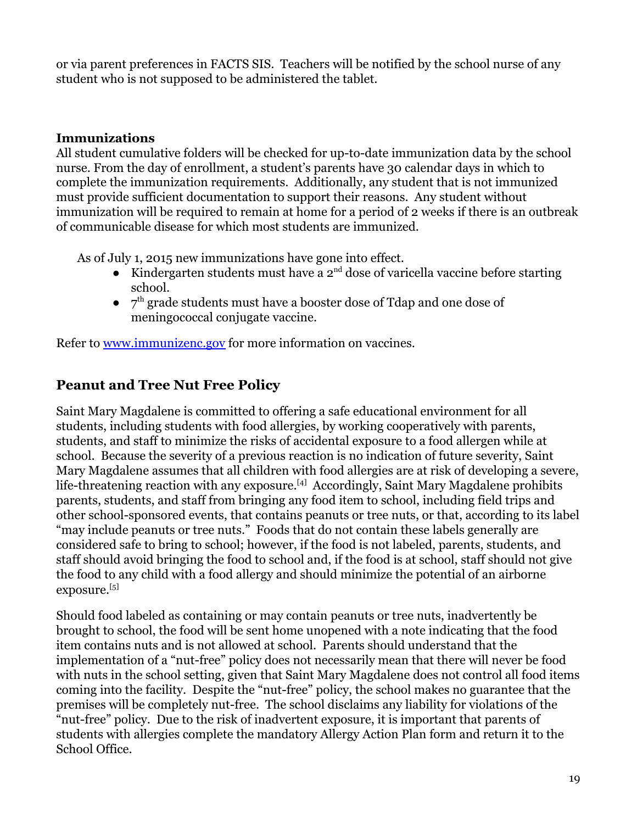or via parent preferences in FACTS SIS. Teachers will be notified by the school nurse of any student who is not supposed to be administered the tablet.

#### <span id="page-18-0"></span>**Immunizations**

All student cumulative folders will be checked for up-to-date immunization data by the school nurse. From the day of enrollment, a student's parents have 30 calendar days in which to complete the immunization requirements. Additionally, any student that is not immunized must provide sufficient documentation to support their reasons. Any student without immunization will be required to remain at home for a period of 2 weeks if there is an outbreak of communicable disease for which most students are immunized.

As of July 1, 2015 new immunizations have gone into effect.

- Kindergarten students must have a  $2^{nd}$  dose of varicella vaccine before starting school.
- $\bullet$   $7<sup>th</sup>$  grade students must have a booster dose of Tdap and one dose of meningococcal conjugate vaccine.

Refer to [www.immunizenc.gov](http://www.immunizenc.gov) for more information on vaccines.

#### <span id="page-18-1"></span>**Peanut and Tree Nut Free Policy**

Saint Mary Magdalene is committed to offering a safe educational environment for all students, including students with food allergies, by working cooperatively with parents, students, and staff to minimize the risks of accidental exposure to a food allergen while at school. Because the severity of a previous reaction is no indication of future severity, Saint Mary Magdalene assumes that all children with food allergies are at risk of developing a severe, life-threatening reaction with any exposure.<sup>[4]</sup> Accordingly, Saint Mary Magdalene prohibits parents, students, and staff from bringing any food item to school, including field trips and other school-sponsored events, that contains peanuts or tree nuts, or that, according to its label "may include peanuts or tree nuts." Foods that do not contain these labels generally are considered safe to bring to school; however, if the food is not labeled, parents, students, and staff should avoid bringing the food to school and, if the food is at school, staff should not give the food to any child with a food allergy and should minimize the potential of an airborne exposure.<sup>[5]</sup>

Should food labeled as containing or may contain peanuts or tree nuts, inadvertently be brought to school, the food will be sent home unopened with a note indicating that the food item contains nuts and is not allowed at school. Parents should understand that the implementation of a "nut-free" policy does not necessarily mean that there will never be food with nuts in the school setting, given that Saint Mary Magdalene does not control all food items coming into the facility. Despite the "nut-free" policy, the school makes no guarantee that the premises will be completely nut-free. The school disclaims any liability for violations of the "nut-free" policy. Due to the risk of inadvertent exposure, it is important that parents of students with allergies complete the mandatory Allergy Action Plan form and return it to the School Office.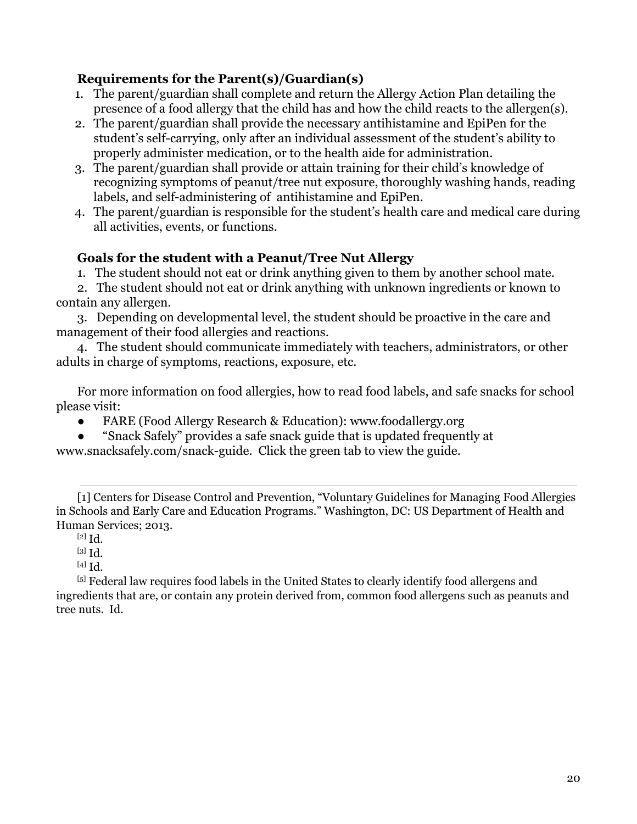#### **Requirements for the Parent(s)/Guardian(s)**

- 1. The parent/guardian shall complete and return the Allergy Action Plan detailing the presence of a food allergy that the child has and how the child reacts to the allergen(s).
- 2. The parent/guardian shall provide the necessary antihistamine and EpiPen for the student's self-carrying, only after an individual assessment of the student's ability to properly administer medication, or to the health aide for administration.
- 3. The parent/guardian shall provide or attain training for their child's knowledge of recognizing symptoms of peanut/tree nut exposure, thoroughly washing hands, reading labels, and self-administering of antihistamine and EpiPen.
- 4. The parent/guardian is responsible for the student's health care and medical care during all activities, events, or functions.

#### **Goals for the student with a Peanut/Tree Nut Allergy**

1. The student should not eat or drink anything given to them by another school mate.

2. The student should not eat or drink anything with unknown ingredients or known to contain any allergen.

3. Depending on developmental level, the student should be proactive in the care and management of their food allergies and reactions.

4. The student should communicate immediately with teachers, administrators, or other adults in charge of symptoms, reactions, exposure, etc.

For more information on food allergies, how to read food labels, and safe snacks for school please visit:

FARE (Food Allergy Research & Education): www.foodallergy.org

● "Snack Safely" provides a safe snack guide that is updated frequently at www.snacksafely.com/snack-guide. Click the green tab to view the guide.

[1] Centers for Disease Control and Prevention, "Voluntary Guidelines for Managing Food Allergies in Schools and Early Care and Education Programs." Washington, DC: US Department of Health and Human Services; 2013.

[2] Id.

[3] Id.

[4] Id.

[5] Federal law requires food labels in the United States to clearly identify food allergens and ingredients that are, or contain any protein derived from, common food allergens such as peanuts and tree nuts. Id.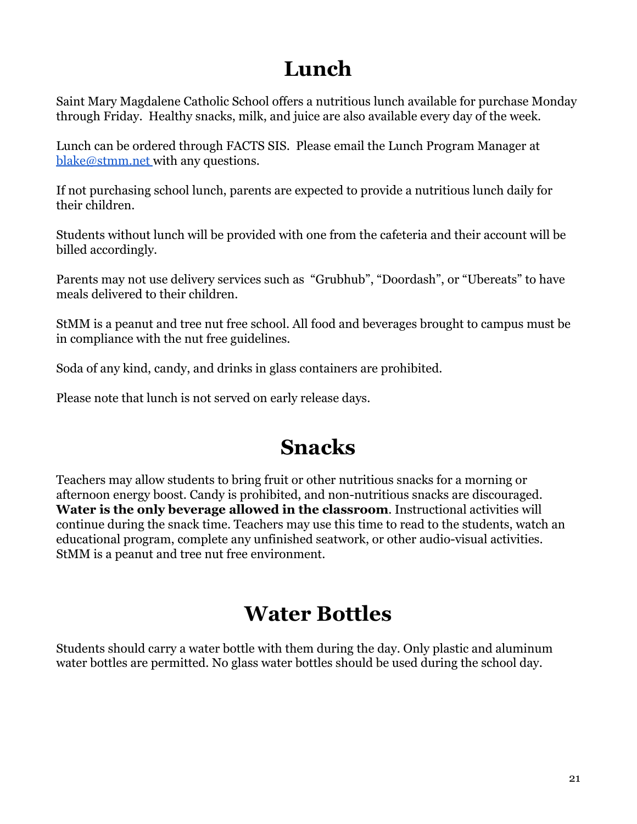### **Lunch**

<span id="page-20-0"></span>Saint Mary Magdalene Catholic School offers a nutritious lunch available for purchase Monday through Friday. Healthy snacks, milk, and juice are also available every day of the week.

Lunch can be ordered through FACTS SIS. Please email the Lunch Program Manager at [blake@stmm.net](mailto:blake@stmm.net) with any questions.

If not purchasing school lunch, parents are expected to provide a nutritious lunch daily for their children.

Students without lunch will be provided with one from the cafeteria and their account will be billed accordingly.

Parents may not use delivery services such as "Grubhub", "Doordash", or "Ubereats" to have meals delivered to their children.

StMM is a peanut and tree nut free school. All food and beverages brought to campus must be in compliance with the nut free guidelines.

Soda of any kind, candy, and drinks in glass containers are prohibited.

Please note that lunch is not served on early release days.

### **Snacks**

<span id="page-20-1"></span>Teachers may allow students to bring fruit or other nutritious snacks for a morning or afternoon energy boost. Candy is prohibited, and non-nutritious snacks are discouraged. **Water is the only beverage allowed in the classroom**. Instructional activities will continue during the snack time. Teachers may use this time to read to the students, watch an educational program, complete any unfinished seatwork, or other audio-visual activities. StMM is a peanut and tree nut free environment.

### **Water Bottles**

<span id="page-20-2"></span>Students should carry a water bottle with them during the day. Only plastic and aluminum water bottles are permitted. No glass water bottles should be used during the school day.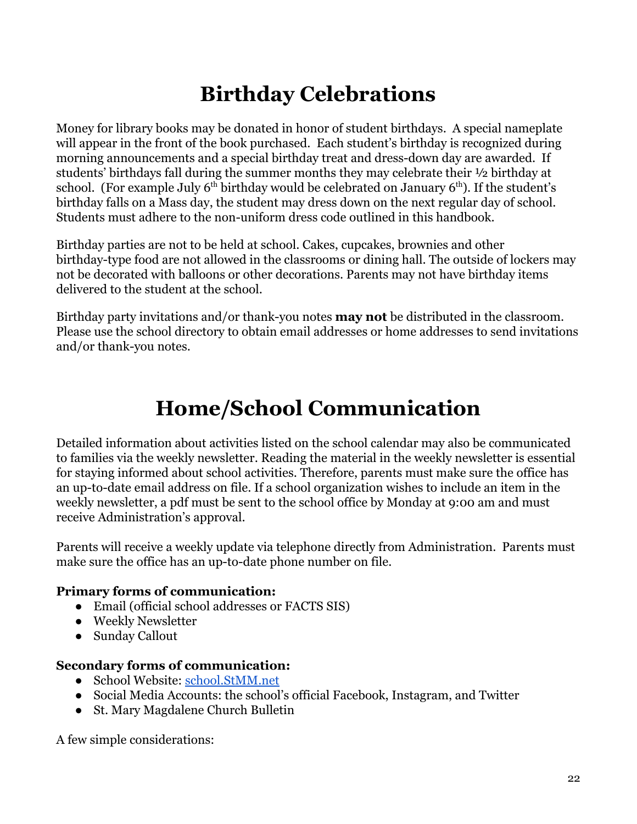## **Birthday Celebrations**

<span id="page-21-0"></span>Money for library books may be donated in honor of student birthdays. A special nameplate will appear in the front of the book purchased. Each student's birthday is recognized during morning announcements and a special birthday treat and dress-down day are awarded. If students' birthdays fall during the summer months they may celebrate their ½ birthday at school. (For example July  $6<sup>th</sup>$  birthday would be celebrated on January  $6<sup>th</sup>$ ). If the student's birthday falls on a Mass day, the student may dress down on the next regular day of school. Students must adhere to the non-uniform dress code outlined in this handbook.

Birthday parties are not to be held at school. Cakes, cupcakes, brownies and other birthday-type food are not allowed in the classrooms or dining hall. The outside of lockers may not be decorated with balloons or other decorations. Parents may not have birthday items delivered to the student at the school.

Birthday party invitations and/or thank-you notes **may not** be distributed in the classroom. Please use the school directory to obtain email addresses or home addresses to send invitations and/or thank-you notes.

## **Home/School Communication**

<span id="page-21-1"></span>Detailed information about activities listed on the school calendar may also be communicated to families via the weekly newsletter. Reading the material in the weekly newsletter is essential for staying informed about school activities. Therefore, parents must make sure the office has an up-to-date email address on file. If a school organization wishes to include an item in the weekly newsletter, a pdf must be sent to the school office by Monday at 9:00 am and must receive Administration's approval.

Parents will receive a weekly update via telephone directly from Administration. Parents must make sure the office has an up-to-date phone number on file.

#### **Primary forms of communication:**

- Email (official school addresses or FACTS SIS)
- Weekly Newsletter
- Sunday Callout

#### **Secondary forms of communication:**

- School Website: [school.StMM.net](http://school.stmm.net)
- Social Media Accounts: the school's official Facebook, Instagram, and Twitter
- St. Mary Magdalene Church Bulletin

A few simple considerations: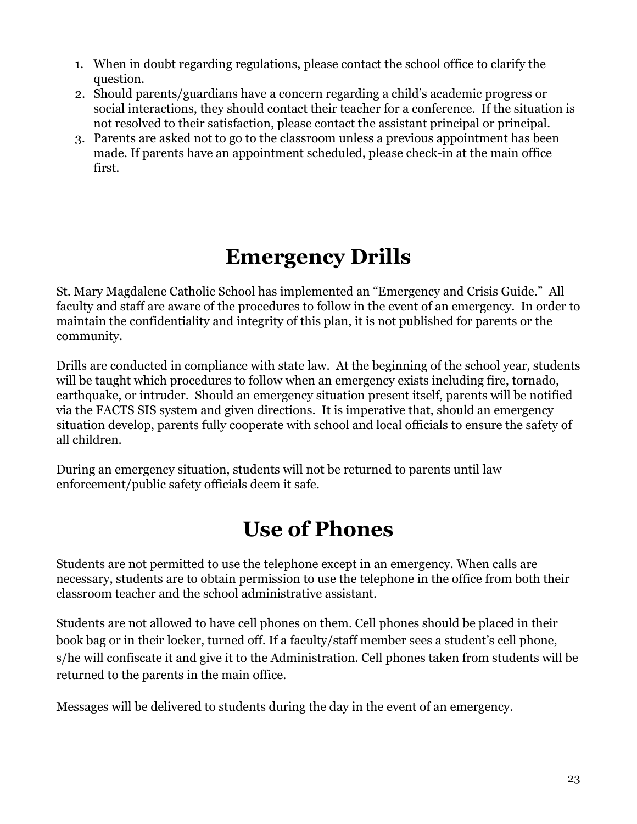- 1. When in doubt regarding regulations, please contact the school office to clarify the question.
- 2. Should parents/guardians have a concern regarding a child's academic progress or social interactions, they should contact their teacher for a conference. If the situation is not resolved to their satisfaction, please contact the assistant principal or principal.
- 3. Parents are asked not to go to the classroom unless a previous appointment has been made. If parents have an appointment scheduled, please check-in at the main office first.

### **Emergency Drills**

<span id="page-22-0"></span>St. Mary Magdalene Catholic School has implemented an "Emergency and Crisis Guide." All faculty and staff are aware of the procedures to follow in the event of an emergency. In order to maintain the confidentiality and integrity of this plan, it is not published for parents or the community.

Drills are conducted in compliance with state law. At the beginning of the school year, students will be taught which procedures to follow when an emergency exists including fire, tornado, earthquake, or intruder. Should an emergency situation present itself, parents will be notified via the FACTS SIS system and given directions. It is imperative that, should an emergency situation develop, parents fully cooperate with school and local officials to ensure the safety of all children.

During an emergency situation, students will not be returned to parents until law enforcement/public safety officials deem it safe.

### **Use of Phones**

<span id="page-22-1"></span>Students are not permitted to use the telephone except in an emergency. When calls are necessary, students are to obtain permission to use the telephone in the office from both their classroom teacher and the school administrative assistant.

Students are not allowed to have cell phones on them. Cell phones should be placed in their book bag or in their locker, turned off. If a faculty/staff member sees a student's cell phone, s/he will confiscate it and give it to the Administration. Cell phones taken from students will be returned to the parents in the main office.

Messages will be delivered to students during the day in the event of an emergency.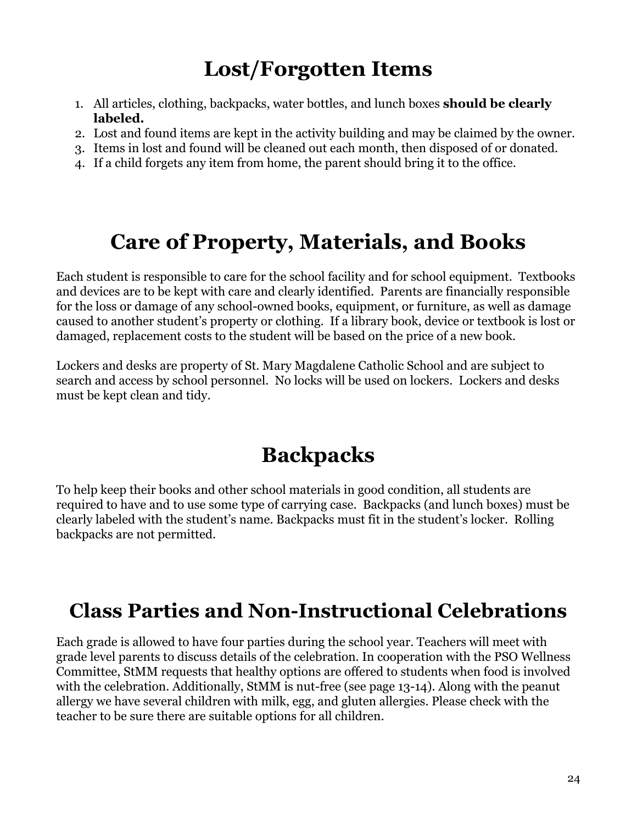## **Lost/Forgotten Items**

- <span id="page-23-0"></span>1. All articles, clothing, backpacks, water bottles, and lunch boxes **should be clearly labeled.**
- 2. Lost and found items are kept in the activity building and may be claimed by the owner.
- 3. Items in lost and found will be cleaned out each month, then disposed of or donated.
- 4. If a child forgets any item from home, the parent should bring it to the office.

### **Care of Property, Materials, and Books**

<span id="page-23-1"></span>Each student is responsible to care for the school facility and for school equipment. Textbooks and devices are to be kept with care and clearly identified. Parents are financially responsible for the loss or damage of any school-owned books, equipment, or furniture, as well as damage caused to another student's property or clothing. If a library book, device or textbook is lost or damaged, replacement costs to the student will be based on the price of a new book.

Lockers and desks are property of St. Mary Magdalene Catholic School and are subject to search and access by school personnel. No locks will be used on lockers. Lockers and desks must be kept clean and tidy.

### **Backpacks**

<span id="page-23-2"></span>To help keep their books and other school materials in good condition, all students are required to have and to use some type of carrying case. Backpacks (and lunch boxes) must be clearly labeled with the student's name. Backpacks must fit in the student's locker. Rolling backpacks are not permitted.

### <span id="page-23-3"></span>**Class Parties and Non-Instructional Celebrations**

Each grade is allowed to have four parties during the school year. Teachers will meet with grade level parents to discuss details of the celebration. In cooperation with the PSO Wellness Committee, StMM requests that healthy options are offered to students when food is involved with the celebration. Additionally, StMM is nut-free (see page 13-14). Along with the peanut allergy we have several children with milk, egg, and gluten allergies. Please check with the teacher to be sure there are suitable options for all children.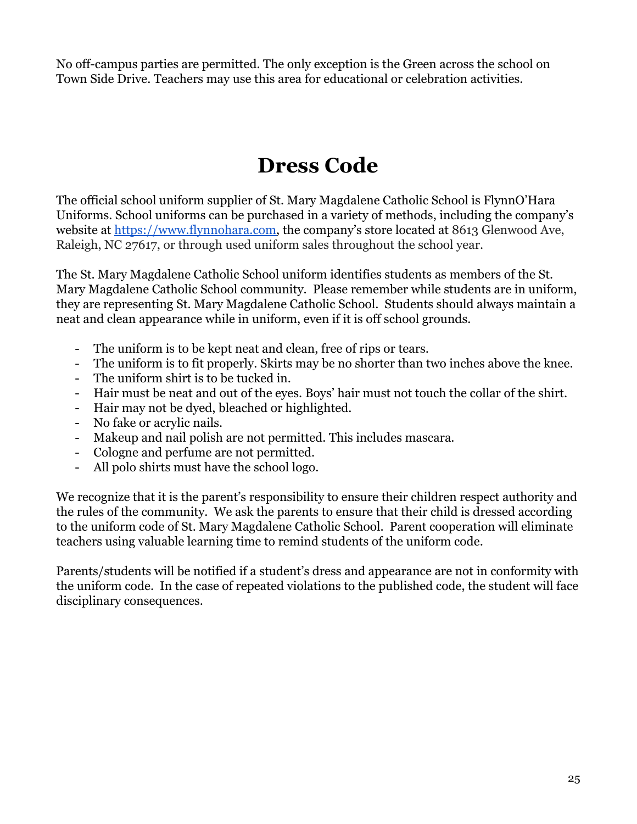No off-campus parties are permitted. The only exception is the Green across the school on Town Side Drive. Teachers may use this area for educational or celebration activities.

### **Dress Code**

<span id="page-24-0"></span>The official school uniform supplier of St. Mary Magdalene Catholic School is FlynnO'Hara Uniforms. School uniforms can be purchased in a variety of methods, including the company's website at [https://www.flynnohara.com,](https://www.flynnohara.com) the company's store located at 8613 Glenwood Ave, Raleigh, NC 27617, or through used uniform sales throughout the school year.

The St. Mary Magdalene Catholic School uniform identifies students as members of the St. Mary Magdalene Catholic School community. Please remember while students are in uniform, they are representing St. Mary Magdalene Catholic School. Students should always maintain a neat and clean appearance while in uniform, even if it is off school grounds.

- The uniform is to be kept neat and clean, free of rips or tears.
- The uniform is to fit properly. Skirts may be no shorter than two inches above the knee.
- The uniform shirt is to be tucked in.
- Hair must be neat and out of the eyes. Boys' hair must not touch the collar of the shirt.
- Hair may not be dyed, bleached or highlighted.
- No fake or acrylic nails.
- Makeup and nail polish are not permitted. This includes mascara.
- Cologne and perfume are not permitted.
- All polo shirts must have the school logo.

We recognize that it is the parent's responsibility to ensure their children respect authority and the rules of the community. We ask the parents to ensure that their child is dressed according to the uniform code of St. Mary Magdalene Catholic School. Parent cooperation will eliminate teachers using valuable learning time to remind students of the uniform code.

Parents/students will be notified if a student's dress and appearance are not in conformity with the uniform code. In the case of repeated violations to the published code, the student will face disciplinary consequences.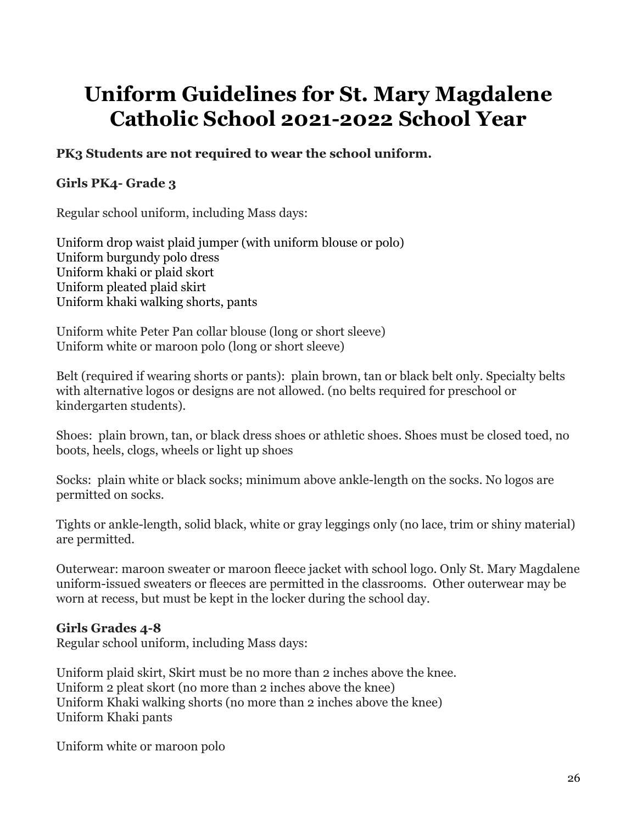## <span id="page-25-0"></span>**Uniform Guidelines for St. Mary Magdalene Catholic School 2021-2022 School Year**

#### **PK3 Students are not required to wear the school uniform.**

#### **Girls PK4- Grade 3**

Regular school uniform, including Mass days:

Uniform drop waist plaid jumper (with uniform blouse or polo) Uniform burgundy polo dress Uniform khaki or plaid skort Uniform pleated plaid skirt Uniform khaki walking shorts, pants

Uniform white Peter Pan collar blouse (long or short sleeve) Uniform white or maroon polo (long or short sleeve)

Belt (required if wearing shorts or pants): plain brown, tan or black belt only. Specialty belts with alternative logos or designs are not allowed. (no belts required for preschool or kindergarten students).

Shoes: plain brown, tan, or black dress shoes or athletic shoes. Shoes must be closed toed, no boots, heels, clogs, wheels or light up shoes

Socks: plain white or black socks; minimum above ankle-length on the socks. No logos are permitted on socks.

Tights or ankle-length, solid black, white or gray leggings only (no lace, trim or shiny material) are permitted.

Outerwear: maroon sweater or maroon fleece jacket with school logo. Only St. Mary Magdalene uniform-issued sweaters or fleeces are permitted in the classrooms. Other outerwear may be worn at recess, but must be kept in the locker during the school day.

#### **Girls Grades 4-8**

Regular school uniform, including Mass days:

Uniform plaid skirt, Skirt must be no more than 2 inches above the knee. Uniform 2 pleat skort (no more than 2 inches above the knee) Uniform Khaki walking shorts (no more than 2 inches above the knee) Uniform Khaki pants

Uniform white or maroon polo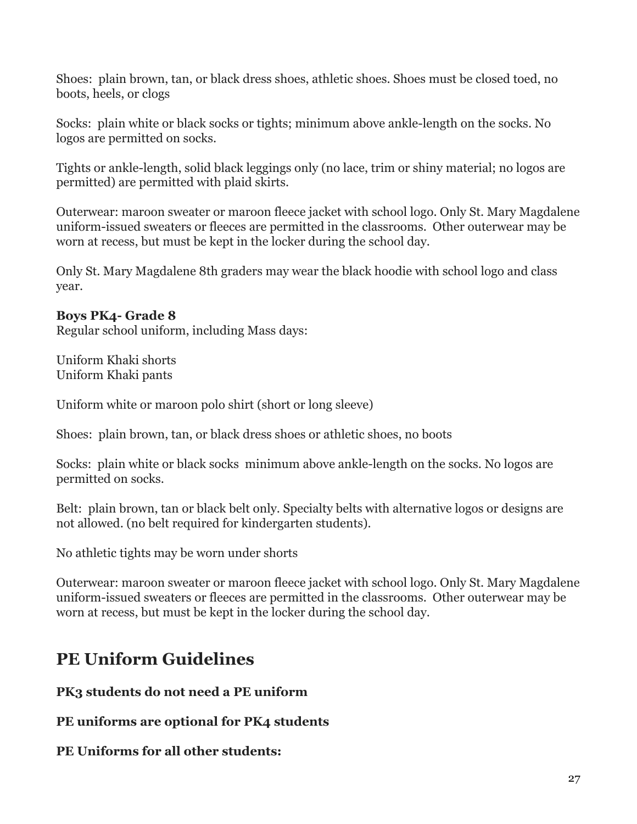Shoes: plain brown, tan, or black dress shoes, athletic shoes. Shoes must be closed toed, no boots, heels, or clogs

Socks: plain white or black socks or tights; minimum above ankle-length on the socks. No logos are permitted on socks.

Tights or ankle-length, solid black leggings only (no lace, trim or shiny material; no logos are permitted) are permitted with plaid skirts.

Outerwear: maroon sweater or maroon fleece jacket with school logo. Only St. Mary Magdalene uniform-issued sweaters or fleeces are permitted in the classrooms. Other outerwear may be worn at recess, but must be kept in the locker during the school day.

Only St. Mary Magdalene 8th graders may wear the black hoodie with school logo and class year.

#### **Boys PK4- Grade 8**

Regular school uniform, including Mass days:

Uniform Khaki shorts Uniform Khaki pants

Uniform white or maroon polo shirt (short or long sleeve)

Shoes: plain brown, tan, or black dress shoes or athletic shoes, no boots

Socks: plain white or black socks minimum above ankle-length on the socks. No logos are permitted on socks.

Belt: plain brown, tan or black belt only. Specialty belts with alternative logos or designs are not allowed. (no belt required for kindergarten students).

No athletic tights may be worn under shorts

Outerwear: maroon sweater or maroon fleece jacket with school logo. Only St. Mary Magdalene uniform-issued sweaters or fleeces are permitted in the classrooms. Other outerwear may be worn at recess, but must be kept in the locker during the school day.

### **PE Uniform Guidelines**

**PK3 students do not need a PE uniform**

**PE uniforms are optional for PK4 students**

#### **PE Uniforms for all other students:**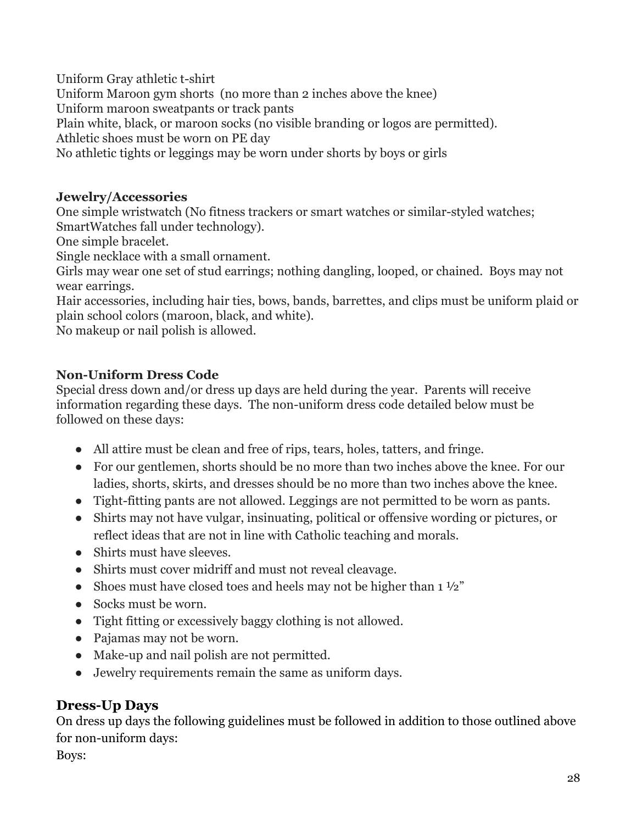Uniform Gray athletic t-shirt Uniform Maroon gym shorts (no more than 2 inches above the knee) Uniform maroon sweatpants or track pants Plain white, black, or maroon socks (no visible branding or logos are permitted). Athletic shoes must be worn on PE day No athletic tights or leggings may be worn under shorts by boys or girls

#### **Jewelry/Accessories**

One simple wristwatch (No fitness trackers or smart watches or similar-styled watches; SmartWatches fall under technology).

One simple bracelet.

Single necklace with a small ornament.

Girls may wear one set of stud earrings; nothing dangling, looped, or chained. Boys may not wear earrings.

Hair accessories, including hair ties, bows, bands, barrettes, and clips must be uniform plaid or plain school colors (maroon, black, and white).

No makeup or nail polish is allowed.

#### **Non-Uniform Dress Code**

Special dress down and/or dress up days are held during the year. Parents will receive information regarding these days. The non-uniform dress code detailed below must be followed on these days:

- All attire must be clean and free of rips, tears, holes, tatters, and fringe.
- For our gentlemen, shorts should be no more than two inches above the knee. For our ladies, shorts, skirts, and dresses should be no more than two inches above the knee.
- Tight-fitting pants are not allowed. Leggings are not permitted to be worn as pants.
- Shirts may not have vulgar, insinuating, political or offensive wording or pictures, or reflect ideas that are not in line with Catholic teaching and morals.
- Shirts must have sleeves.
- Shirts must cover midriff and must not reveal cleavage.
- Shoes must have closed toes and heels may not be higher than  $1\frac{1}{2}$ "
- Socks must be worn.
- Tight fitting or excessively baggy clothing is not allowed.
- Pajamas may not be worn.
- Make-up and nail polish are not permitted.
- Jewelry requirements remain the same as uniform days.

#### **Dress-Up Days**

On dress up days the following guidelines must be followed in addition to those outlined above for non-uniform days:

Boys: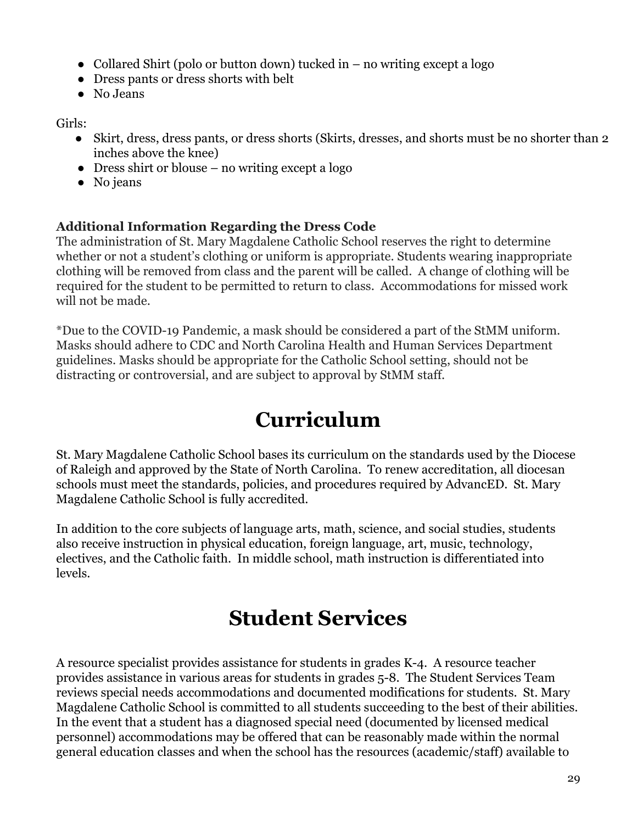- Collared Shirt (polo or button down) tucked in  $-$  no writing except a logo
- Dress pants or dress shorts with belt
- No Jeans

Girls:

- Skirt, dress, dress pants, or dress shorts (Skirts, dresses, and shorts must be no shorter than 2 inches above the knee)
- $\bullet$  Dress shirt or blouse no writing except a logo
- No jeans

#### **Additional Information Regarding the Dress Code**

The administration of St. Mary Magdalene Catholic School reserves the right to determine whether or not a student's clothing or uniform is appropriate. Students wearing inappropriate clothing will be removed from class and the parent will be called. A change of clothing will be required for the student to be permitted to return to class. Accommodations for missed work will not be made.

\*Due to the COVID-19 Pandemic, a mask should be considered a part of the StMM uniform. Masks should adhere to CDC and North Carolina Health and Human Services Department guidelines. Masks should be appropriate for the Catholic School setting, should not be distracting or controversial, and are subject to approval by StMM staff.

### **Curriculum**

<span id="page-28-0"></span>St. Mary Magdalene Catholic School bases its curriculum on the standards used by the Diocese of Raleigh and approved by the State of North Carolina. To renew accreditation, all diocesan schools must meet the standards, policies, and procedures required by AdvancED. St. Mary Magdalene Catholic School is fully accredited.

In addition to the core subjects of language arts, math, science, and social studies, students also receive instruction in physical education, foreign language, art, music, technology, electives, and the Catholic faith. In middle school, math instruction is differentiated into levels.

### **Student Services**

<span id="page-28-1"></span>A resource specialist provides assistance for students in grades K-4. A resource teacher provides assistance in various areas for students in grades 5-8. The Student Services Team reviews special needs accommodations and documented modifications for students. St. Mary Magdalene Catholic School is committed to all students succeeding to the best of their abilities. In the event that a student has a diagnosed special need (documented by licensed medical personnel) accommodations may be offered that can be reasonably made within the normal general education classes and when the school has the resources (academic/staff) available to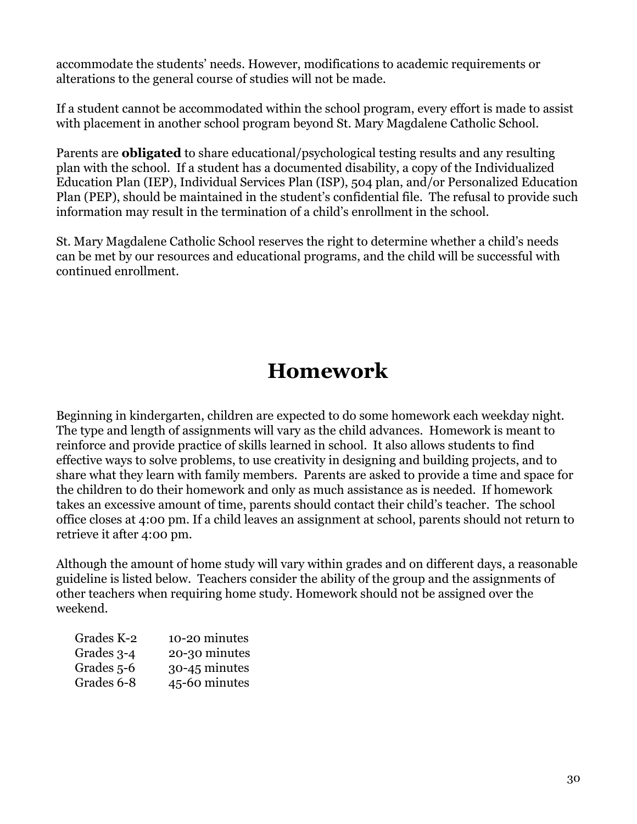accommodate the students' needs. However, modifications to academic requirements or alterations to the general course of studies will not be made.

If a student cannot be accommodated within the school program, every effort is made to assist with placement in another school program beyond St. Mary Magdalene Catholic School.

Parents are **obligated** to share educational/psychological testing results and any resulting plan with the school. If a student has a documented disability, a copy of the Individualized Education Plan (IEP), Individual Services Plan (ISP), 504 plan, and/or Personalized Education Plan (PEP), should be maintained in the student's confidential file. The refusal to provide such information may result in the termination of a child's enrollment in the school.

St. Mary Magdalene Catholic School reserves the right to determine whether a child's needs can be met by our resources and educational programs, and the child will be successful with continued enrollment.

## **Homework**

<span id="page-29-0"></span>Beginning in kindergarten, children are expected to do some homework each weekday night. The type and length of assignments will vary as the child advances. Homework is meant to reinforce and provide practice of skills learned in school. It also allows students to find effective ways to solve problems, to use creativity in designing and building projects, and to share what they learn with family members. Parents are asked to provide a time and space for the children to do their homework and only as much assistance as is needed. If homework takes an excessive amount of time, parents should contact their child's teacher. The school office closes at 4:00 pm. If a child leaves an assignment at school, parents should not return to retrieve it after 4:00 pm.

Although the amount of home study will vary within grades and on different days, a reasonable guideline is listed below. Teachers consider the ability of the group and the assignments of other teachers when requiring home study. Homework should not be assigned over the weekend.

| Grades K-2 | 10-20 minutes |
|------------|---------------|
| Grades 3-4 | 20-30 minutes |
| Grades 5-6 | 30-45 minutes |
| Grades 6-8 | 45-60 minutes |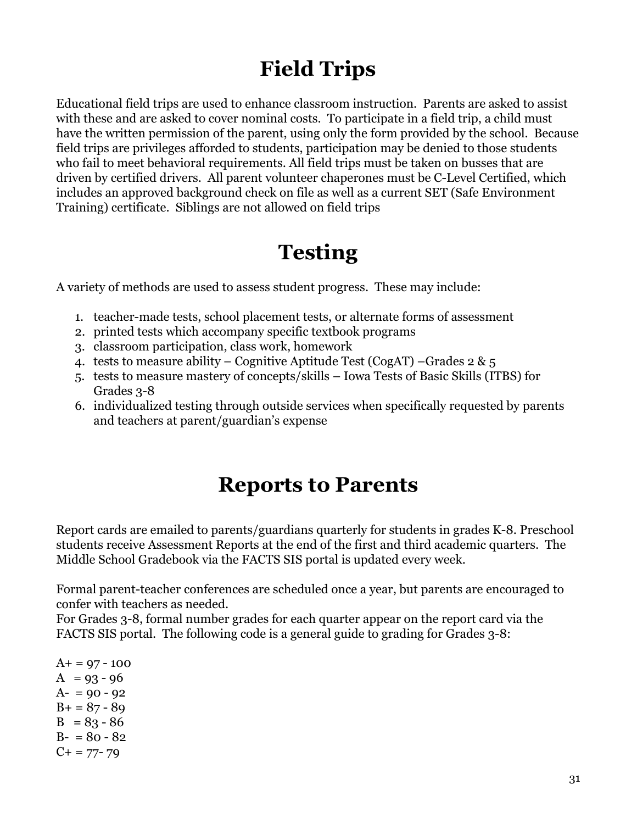## **Field Trips**

<span id="page-30-0"></span>Educational field trips are used to enhance classroom instruction. Parents are asked to assist with these and are asked to cover nominal costs. To participate in a field trip, a child must have the written permission of the parent, using only the form provided by the school. Because field trips are privileges afforded to students, participation may be denied to those students who fail to meet behavioral requirements. All field trips must be taken on busses that are driven by certified drivers. All parent volunteer chaperones must be C-Level Certified, which includes an approved background check on file as well as a current SET (Safe Environment Training) certificate. Siblings are not allowed on field trips

## **Testing**

<span id="page-30-1"></span>A variety of methods are used to assess student progress. These may include:

- 1. teacher-made tests, school placement tests, or alternate forms of assessment
- 2. printed tests which accompany specific textbook programs
- 3. classroom participation, class work, homework
- 4. tests to measure ability Cognitive Aptitude Test (CogAT) Grades  $2 \& 5$
- 5. tests to measure mastery of concepts/skills Iowa Tests of Basic Skills (ITBS) for Grades 3-8
- 6. individualized testing through outside services when specifically requested by parents and teachers at parent/guardian's expense

### **Reports to Parents**

<span id="page-30-2"></span>Report cards are emailed to parents/guardians quarterly for students in grades K-8. Preschool students receive Assessment Reports at the end of the first and third academic quarters. The Middle School Gradebook via the FACTS SIS portal is updated every week.

Formal parent-teacher conferences are scheduled once a year, but parents are encouraged to confer with teachers as needed.

For Grades 3-8, formal number grades for each quarter appear on the report card via the FACTS SIS portal. The following code is a general guide to grading for Grades 3-8:

 $A+ = 97 - 100$  $A = 93 - 96$  $A- = 90 - 92$  $B+ = 87 - 89$  $B = 83 - 86$  $B - 80 - 82$  $C+= 77-79$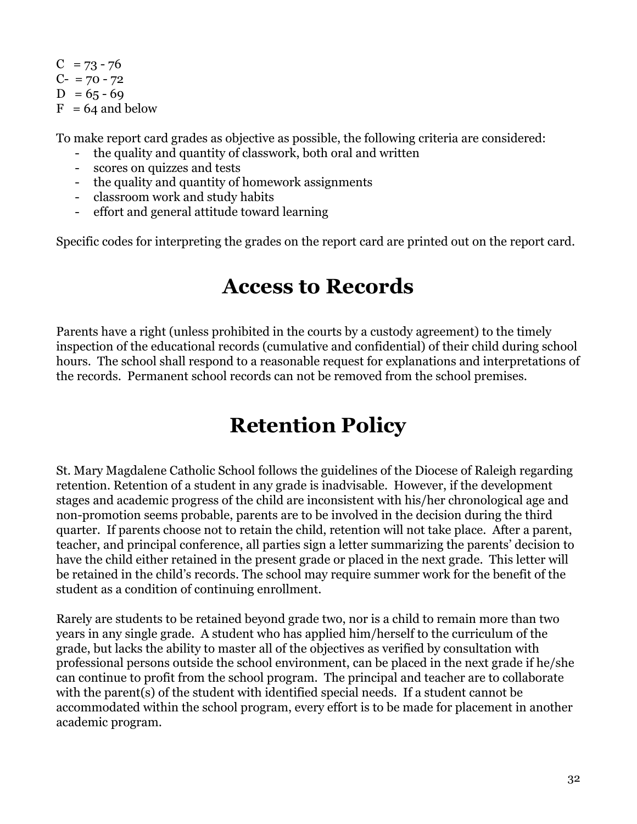$C = 73 - 76$  $C- = 70 - 72$  $D = 65 - 69$  $F = 64$  and below

To make report card grades as objective as possible, the following criteria are considered:

- the quality and quantity of classwork, both oral and written
- scores on quizzes and tests
- the quality and quantity of homework assignments
- classroom work and study habits
- effort and general attitude toward learning

<span id="page-31-0"></span>Specific codes for interpreting the grades on the report card are printed out on the report card.

### **Access to Records**

Parents have a right (unless prohibited in the courts by a custody agreement) to the timely inspection of the educational records (cumulative and confidential) of their child during school hours. The school shall respond to a reasonable request for explanations and interpretations of the records. Permanent school records can not be removed from the school premises.

## **Retention Policy**

<span id="page-31-1"></span>St. Mary Magdalene Catholic School follows the guidelines of the Diocese of Raleigh regarding retention. Retention of a student in any grade is inadvisable. However, if the development stages and academic progress of the child are inconsistent with his/her chronological age and non-promotion seems probable, parents are to be involved in the decision during the third quarter. If parents choose not to retain the child, retention will not take place. After a parent, teacher, and principal conference, all parties sign a letter summarizing the parents' decision to have the child either retained in the present grade or placed in the next grade. This letter will be retained in the child's records. The school may require summer work for the benefit of the student as a condition of continuing enrollment.

Rarely are students to be retained beyond grade two, nor is a child to remain more than two years in any single grade. A student who has applied him/herself to the curriculum of the grade, but lacks the ability to master all of the objectives as verified by consultation with professional persons outside the school environment, can be placed in the next grade if he/she can continue to profit from the school program. The principal and teacher are to collaborate with the parent(s) of the student with identified special needs. If a student cannot be accommodated within the school program, every effort is to be made for placement in another academic program.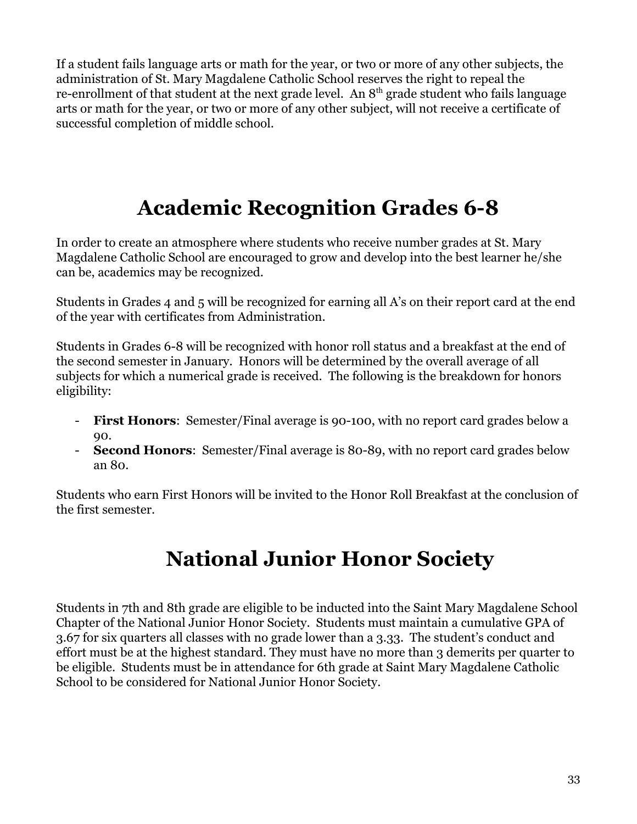If a student fails language arts or math for the year, or two or more of any other subjects, the administration of St. Mary Magdalene Catholic School reserves the right to repeal the re-enrollment of that student at the next grade level. An  $8<sup>th</sup>$  grade student who fails language arts or math for the year, or two or more of any other subject, will not receive a certificate of successful completion of middle school.

# **Academic Recognition Grades 6-8**

<span id="page-32-0"></span>In order to create an atmosphere where students who receive number grades at St. Mary Magdalene Catholic School are encouraged to grow and develop into the best learner he/she can be, academics may be recognized.

Students in Grades 4 and 5 will be recognized for earning all A's on their report card at the end of the year with certificates from Administration.

Students in Grades 6-8 will be recognized with honor roll status and a breakfast at the end of the second semester in January. Honors will be determined by the overall average of all subjects for which a numerical grade is received. The following is the breakdown for honors eligibility:

- **First Honors**: Semester/Final average is 90-100, with no report card grades below a 90.
- **Second Honors:** Semester/Final average is 80-89, with no report card grades below an 80.

Students who earn First Honors will be invited to the Honor Roll Breakfast at the conclusion of the first semester.

## **National Junior Honor Society**

<span id="page-32-1"></span>Students in 7th and 8th grade are eligible to be inducted into the Saint Mary Magdalene School Chapter of the National Junior Honor Society. Students must maintain a cumulative GPA of 3.67 for six quarters all classes with no grade lower than a 3.33. The student's conduct and effort must be at the highest standard. They must have no more than 3 demerits per quarter to be eligible. Students must be in attendance for 6th grade at Saint Mary Magdalene Catholic School to be considered for National Junior Honor Society.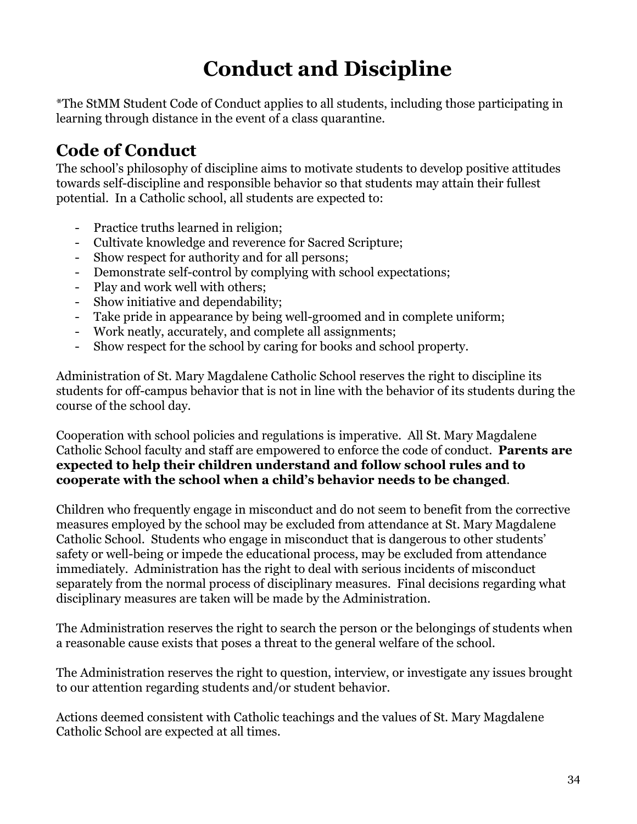# **Conduct and Discipline**

<span id="page-33-0"></span>\*The StMM Student Code of Conduct applies to all students, including those participating in learning through distance in the event of a class quarantine.

### <span id="page-33-1"></span>**Code of Conduct**

The school's philosophy of discipline aims to motivate students to develop positive attitudes towards self-discipline and responsible behavior so that students may attain their fullest potential. In a Catholic school, all students are expected to:

- Practice truths learned in religion;
- Cultivate knowledge and reverence for Sacred Scripture;
- Show respect for authority and for all persons;
- Demonstrate self-control by complying with school expectations;
- Play and work well with others;
- Show initiative and dependability;
- Take pride in appearance by being well-groomed and in complete uniform;
- Work neatly, accurately, and complete all assignments;
- Show respect for the school by caring for books and school property.

Administration of St. Mary Magdalene Catholic School reserves the right to discipline its students for off-campus behavior that is not in line with the behavior of its students during the course of the school day.

Cooperation with school policies and regulations is imperative. All St. Mary Magdalene Catholic School faculty and staff are empowered to enforce the code of conduct. **Parents are expected to help their children understand and follow school rules and to cooperate with the school when a child's behavior needs to be changed**.

Children who frequently engage in misconduct and do not seem to benefit from the corrective measures employed by the school may be excluded from attendance at St. Mary Magdalene Catholic School. Students who engage in misconduct that is dangerous to other students' safety or well-being or impede the educational process, may be excluded from attendance immediately. Administration has the right to deal with serious incidents of misconduct separately from the normal process of disciplinary measures. Final decisions regarding what disciplinary measures are taken will be made by the Administration.

The Administration reserves the right to search the person or the belongings of students when a reasonable cause exists that poses a threat to the general welfare of the school.

The Administration reserves the right to question, interview, or investigate any issues brought to our attention regarding students and/or student behavior.

Actions deemed consistent with Catholic teachings and the values of St. Mary Magdalene Catholic School are expected at all times.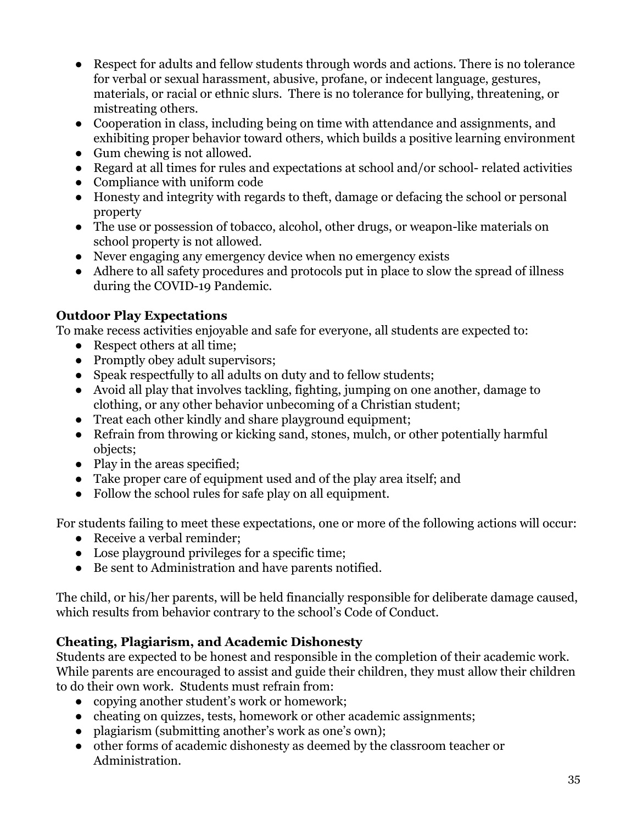- Respect for adults and fellow students through words and actions. There is no tolerance for verbal or sexual harassment, abusive, profane, or indecent language, gestures, materials, or racial or ethnic slurs. There is no tolerance for bullying, threatening, or mistreating others.
- Cooperation in class, including being on time with attendance and assignments, and exhibiting proper behavior toward others, which builds a positive learning environment
- Gum chewing is not allowed.
- Regard at all times for rules and expectations at school and/or school- related activities
- Compliance with uniform code
- Honesty and integrity with regards to theft, damage or defacing the school or personal property
- The use or possession of tobacco, alcohol, other drugs, or weapon-like materials on school property is not allowed.
- Never engaging any emergency device when no emergency exists
- Adhere to all safety procedures and protocols put in place to slow the spread of illness during the COVID-19 Pandemic.

#### **Outdoor Play Expectations**

To make recess activities enjoyable and safe for everyone, all students are expected to:

- Respect others at all time:
- Promptly obey adult supervisors;
- Speak respectfully to all adults on duty and to fellow students;
- Avoid all play that involves tackling, fighting, jumping on one another, damage to clothing, or any other behavior unbecoming of a Christian student;
- Treat each other kindly and share playground equipment;
- Refrain from throwing or kicking sand, stones, mulch, or other potentially harmful objects;
- Play in the areas specified;
- Take proper care of equipment used and of the play area itself; and
- Follow the school rules for safe play on all equipment.

For students failing to meet these expectations, one or more of the following actions will occur:

- Receive a verbal reminder;
- Lose playground privileges for a specific time;
- Be sent to Administration and have parents notified.

The child, or his/her parents, will be held financially responsible for deliberate damage caused, which results from behavior contrary to the school's Code of Conduct.

#### **Cheating, Plagiarism, and Academic Dishonesty**

Students are expected to be honest and responsible in the completion of their academic work. While parents are encouraged to assist and guide their children, they must allow their children to do their own work. Students must refrain from:

- copying another student's work or homework;
- cheating on quizzes, tests, homework or other academic assignments;
- plagiarism (submitting another's work as one's own);
- other forms of academic dishonesty as deemed by the classroom teacher or Administration.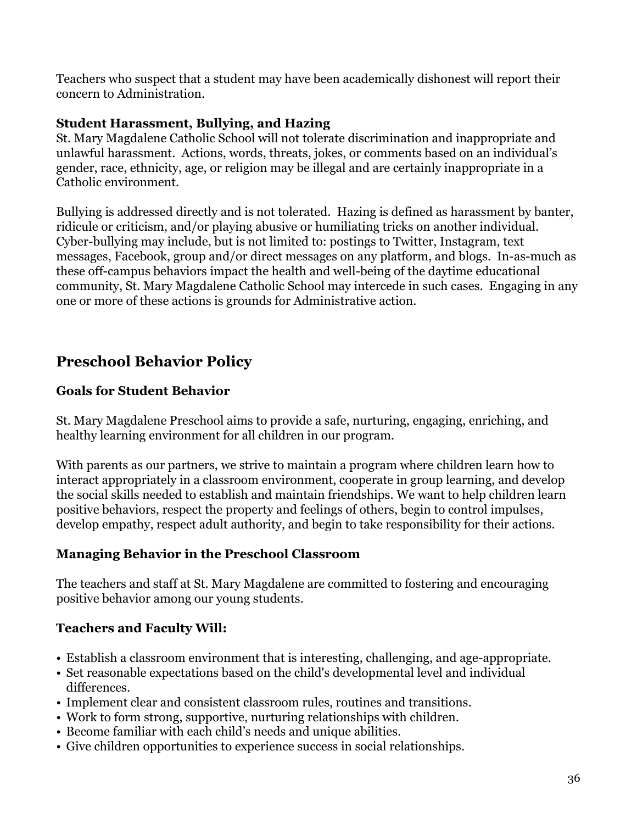Teachers who suspect that a student may have been academically dishonest will report their concern to Administration.

#### **Student Harassment, Bullying, and Hazing**

St. Mary Magdalene Catholic School will not tolerate discrimination and inappropriate and unlawful harassment. Actions, words, threats, jokes, or comments based on an individual's gender, race, ethnicity, age, or religion may be illegal and are certainly inappropriate in a Catholic environment.

Bullying is addressed directly and is not tolerated. Hazing is defined as harassment by banter, ridicule or criticism, and/or playing abusive or humiliating tricks on another individual. Cyber-bullying may include, but is not limited to: postings to Twitter, Instagram, text messages, Facebook, group and/or direct messages on any platform, and blogs. In-as-much as these off-campus behaviors impact the health and well-being of the daytime educational community, St. Mary Magdalene Catholic School may intercede in such cases. Engaging in any one or more of these actions is grounds for Administrative action.

### <span id="page-35-0"></span>**Preschool Behavior Policy**

#### **Goals for Student Behavior**

St. Mary Magdalene Preschool aims to provide a safe, nurturing, engaging, enriching, and healthy learning environment for all children in our program.

With parents as our partners, we strive to maintain a program where children learn how to interact appropriately in a classroom environment, cooperate in group learning, and develop the social skills needed to establish and maintain friendships. We want to help children learn positive behaviors, respect the property and feelings of others, begin to control impulses, develop empathy, respect adult authority, and begin to take responsibility for their actions.

#### **Managing Behavior in the Preschool Classroom**

The teachers and staff at St. Mary Magdalene are committed to fostering and encouraging positive behavior among our young students.

#### **Teachers and Faculty Will:**

- Establish a classroom environment that is interesting, challenging, and age-appropriate.
- Set reasonable expectations based on the child's developmental level and individual differences.
- Implement clear and consistent classroom rules, routines and transitions.
- Work to form strong, supportive, nurturing relationships with children.
- Become familiar with each child's needs and unique abilities.
- Give children opportunities to experience success in social relationships.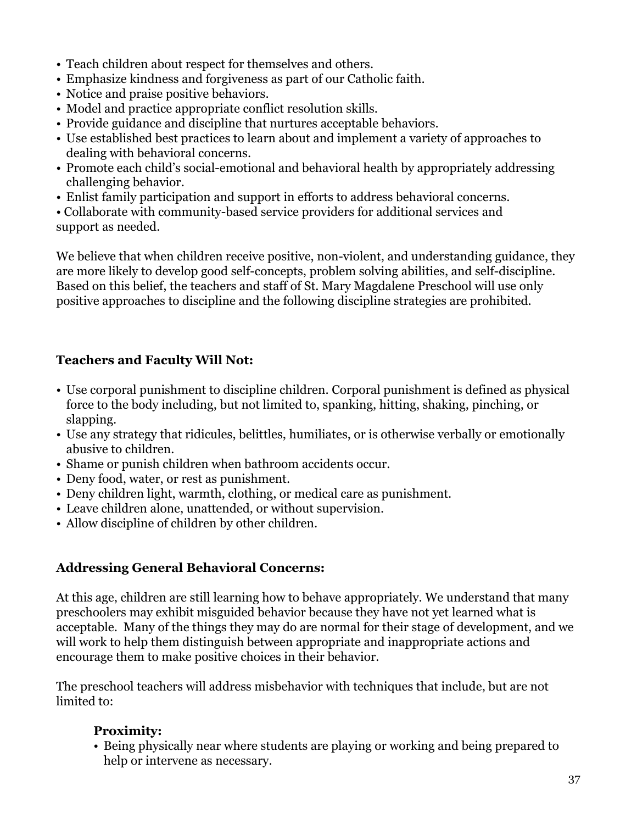- Teach children about respect for themselves and others.
- Emphasize kindness and forgiveness as part of our Catholic faith.
- Notice and praise positive behaviors.
- Model and practice appropriate conflict resolution skills.
- Provide guidance and discipline that nurtures acceptable behaviors.
- Use established best practices to learn about and implement a variety of approaches to dealing with behavioral concerns.
- Promote each child's social-emotional and behavioral health by appropriately addressing challenging behavior.
- Enlist family participation and support in efforts to address behavioral concerns.

• Collaborate with community-based service providers for additional services and support as needed.

We believe that when children receive positive, non-violent, and understanding guidance, they are more likely to develop good self-concepts, problem solving abilities, and self-discipline. Based on this belief, the teachers and staff of St. Mary Magdalene Preschool will use only positive approaches to discipline and the following discipline strategies are prohibited.

#### **Teachers and Faculty Will Not:**

- Use corporal punishment to discipline children. Corporal punishment is defined as physical force to the body including, but not limited to, spanking, hitting, shaking, pinching, or slapping.
- Use any strategy that ridicules, belittles, humiliates, or is otherwise verbally or emotionally abusive to children.
- Shame or punish children when bathroom accidents occur.
- Deny food, water, or rest as punishment.
- Deny children light, warmth, clothing, or medical care as punishment.
- Leave children alone, unattended, or without supervision.
- Allow discipline of children by other children.

#### **Addressing General Behavioral Concerns:**

At this age, children are still learning how to behave appropriately. We understand that many preschoolers may exhibit misguided behavior because they have not yet learned what is acceptable. Many of the things they may do are normal for their stage of development, and we will work to help them distinguish between appropriate and inappropriate actions and encourage them to make positive choices in their behavior.

The preschool teachers will address misbehavior with techniques that include, but are not limited to:

#### **Proximity:**

• Being physically near where students are playing or working and being prepared to help or intervene as necessary.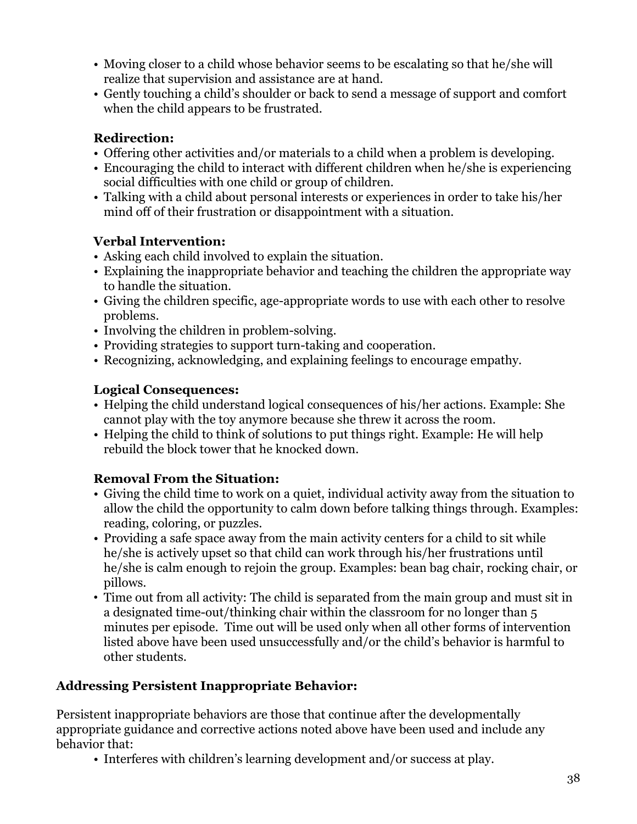- Moving closer to a child whose behavior seems to be escalating so that he/she will realize that supervision and assistance are at hand.
- Gently touching a child's shoulder or back to send a message of support and comfort when the child appears to be frustrated.

#### **Redirection:**

- Offering other activities and/or materials to a child when a problem is developing.
- Encouraging the child to interact with different children when he/she is experiencing social difficulties with one child or group of children.
- Talking with a child about personal interests or experiences in order to take his/her mind off of their frustration or disappointment with a situation.

#### **Verbal Intervention:**

- Asking each child involved to explain the situation.
- Explaining the inappropriate behavior and teaching the children the appropriate way to handle the situation.
- Giving the children specific, age-appropriate words to use with each other to resolve problems.
- Involving the children in problem-solving.
- Providing strategies to support turn-taking and cooperation.
- Recognizing, acknowledging, and explaining feelings to encourage empathy.

#### **Logical Consequences:**

- Helping the child understand logical consequences of his/her actions. Example: She cannot play with the toy anymore because she threw it across the room.
- Helping the child to think of solutions to put things right. Example: He will help rebuild the block tower that he knocked down.

#### **Removal From the Situation:**

- Giving the child time to work on a quiet, individual activity away from the situation to allow the child the opportunity to calm down before talking things through. Examples: reading, coloring, or puzzles.
- Providing a safe space away from the main activity centers for a child to sit while he/she is actively upset so that child can work through his/her frustrations until he/she is calm enough to rejoin the group. Examples: bean bag chair, rocking chair, or pillows.
- Time out from all activity: The child is separated from the main group and must sit in a designated time-out/thinking chair within the classroom for no longer than 5 minutes per episode. Time out will be used only when all other forms of intervention listed above have been used unsuccessfully and/or the child's behavior is harmful to other students.

#### **Addressing Persistent Inappropriate Behavior:**

Persistent inappropriate behaviors are those that continue after the developmentally appropriate guidance and corrective actions noted above have been used and include any behavior that:

• Interferes with children's learning development and/or success at play.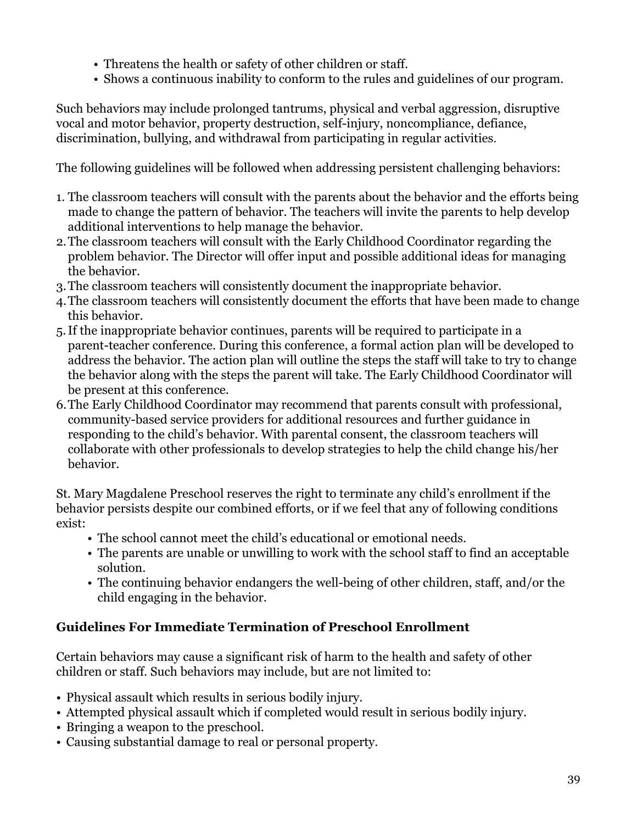- Threatens the health or safety of other children or staff.
- Shows a continuous inability to conform to the rules and guidelines of our program.

Such behaviors may include prolonged tantrums, physical and verbal aggression, disruptive vocal and motor behavior, property destruction, self-injury, noncompliance, defiance, discrimination, bullying, and withdrawal from participating in regular activities.

The following guidelines will be followed when addressing persistent challenging behaviors:

- 1. The classroom teachers will consult with the parents about the behavior and the efforts being made to change the pattern of behavior. The teachers will invite the parents to help develop additional interventions to help manage the behavior.
- 2.The classroom teachers will consult with the Early Childhood Coordinator regarding the problem behavior. The Director will offer input and possible additional ideas for managing the behavior.
- 3.The classroom teachers will consistently document the inappropriate behavior.
- 4.The classroom teachers will consistently document the efforts that have been made to change this behavior.
- 5.If the inappropriate behavior continues, parents will be required to participate in a parent-teacher conference. During this conference, a formal action plan will be developed to address the behavior. The action plan will outline the steps the staff will take to try to change the behavior along with the steps the parent will take. The Early Childhood Coordinator will be present at this conference.
- 6.The Early Childhood Coordinator may recommend that parents consult with professional, community-based service providers for additional resources and further guidance in responding to the child's behavior. With parental consent, the classroom teachers will collaborate with other professionals to develop strategies to help the child change his/her behavior.

St. Mary Magdalene Preschool reserves the right to terminate any child's enrollment if the behavior persists despite our combined efforts, or if we feel that any of following conditions exist:

- The school cannot meet the child's educational or emotional needs.
- The parents are unable or unwilling to work with the school staff to find an acceptable solution.
- The continuing behavior endangers the well-being of other children, staff, and/or the child engaging in the behavior.

#### **Guidelines For Immediate Termination of Preschool Enrollment**

Certain behaviors may cause a significant risk of harm to the health and safety of other children or staff. Such behaviors may include, but are not limited to:

- Physical assault which results in serious bodily injury.
- Attempted physical assault which if completed would result in serious bodily injury.
- Bringing a weapon to the preschool.
- Causing substantial damage to real or personal property.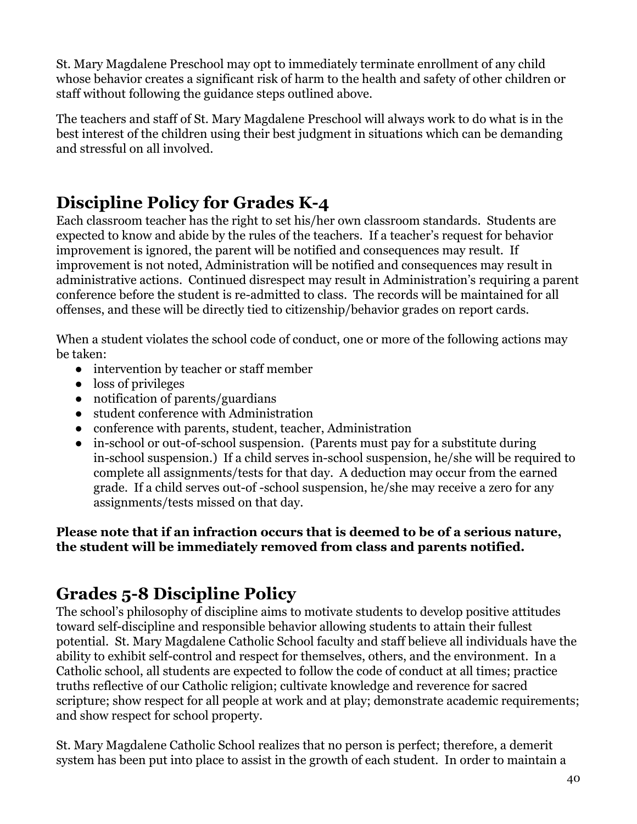St. Mary Magdalene Preschool may opt to immediately terminate enrollment of any child whose behavior creates a significant risk of harm to the health and safety of other children or staff without following the guidance steps outlined above.

The teachers and staff of St. Mary Magdalene Preschool will always work to do what is in the best interest of the children using their best judgment in situations which can be demanding and stressful on all involved.

### <span id="page-39-0"></span>**Discipline Policy for Grades K-4**

Each classroom teacher has the right to set his/her own classroom standards. Students are expected to know and abide by the rules of the teachers. If a teacher's request for behavior improvement is ignored, the parent will be notified and consequences may result. If improvement is not noted, Administration will be notified and consequences may result in administrative actions. Continued disrespect may result in Administration's requiring a parent conference before the student is re-admitted to class. The records will be maintained for all offenses, and these will be directly tied to citizenship/behavior grades on report cards.

When a student violates the school code of conduct, one or more of the following actions may be taken:

- intervention by teacher or staff member
- loss of privileges
- notification of parents/guardians
- student conference with Administration
- conference with parents, student, teacher, Administration
- in-school or out-of-school suspension. (Parents must pay for a substitute during in-school suspension.) If a child serves in-school suspension, he/she will be required to complete all assignments/tests for that day. A deduction may occur from the earned grade. If a child serves out-of -school suspension, he/she may receive a zero for any assignments/tests missed on that day.

#### **Please note that if an infraction occurs that is deemed to be of a serious nature, the student will be immediately removed from class and parents notified.**

### <span id="page-39-1"></span>**Grades 5-8 Discipline Policy**

The school's philosophy of discipline aims to motivate students to develop positive attitudes toward self-discipline and responsible behavior allowing students to attain their fullest potential. St. Mary Magdalene Catholic School faculty and staff believe all individuals have the ability to exhibit self-control and respect for themselves, others, and the environment. In a Catholic school, all students are expected to follow the code of conduct at all times; practice truths reflective of our Catholic religion; cultivate knowledge and reverence for sacred scripture; show respect for all people at work and at play; demonstrate academic requirements; and show respect for school property.

St. Mary Magdalene Catholic School realizes that no person is perfect; therefore, a demerit system has been put into place to assist in the growth of each student. In order to maintain a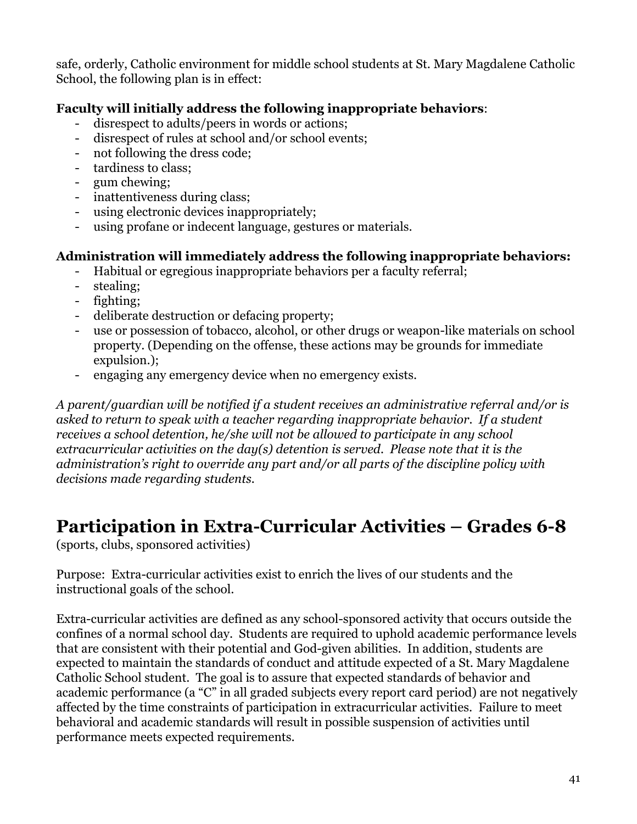safe, orderly, Catholic environment for middle school students at St. Mary Magdalene Catholic School, the following plan is in effect:

#### **Faculty will initially address the following inappropriate behaviors**:

- disrespect to adults/peers in words or actions;
- disrespect of rules at school and/or school events;
- not following the dress code;
- tardiness to class;
- gum chewing;
- inattentiveness during class;
- using electronic devices inappropriately;
- using profane or indecent language, gestures or materials.

#### **Administration will immediately address the following inappropriate behaviors:**

- Habitual or egregious inappropriate behaviors per a faculty referral;
- stealing;
- fighting;
- deliberate destruction or defacing property:
- use or possession of tobacco, alcohol, or other drugs or weapon-like materials on school property. (Depending on the offense, these actions may be grounds for immediate expulsion.);
- engaging any emergency device when no emergency exists.

*A parent/guardian will be notified if a student receives an administrative referral and/or is asked to return to speak with a teacher regarding inappropriate behavior. If a student receives a school detention, he/she will not be allowed to participate in any school extracurricular activities on the day(s) detention is served. Please note that it is the administration's right to override any part and/or all parts of the discipline policy with decisions made regarding students.*

### <span id="page-40-0"></span>**Participation in Extra-Curricular Activities – Grades 6-8**

(sports, clubs, sponsored activities)

Purpose: Extra-curricular activities exist to enrich the lives of our students and the instructional goals of the school.

Extra-curricular activities are defined as any school-sponsored activity that occurs outside the confines of a normal school day. Students are required to uphold academic performance levels that are consistent with their potential and God-given abilities. In addition, students are expected to maintain the standards of conduct and attitude expected of a St. Mary Magdalene Catholic School student. The goal is to assure that expected standards of behavior and academic performance (a "C" in all graded subjects every report card period) are not negatively affected by the time constraints of participation in extracurricular activities. Failure to meet behavioral and academic standards will result in possible suspension of activities until performance meets expected requirements.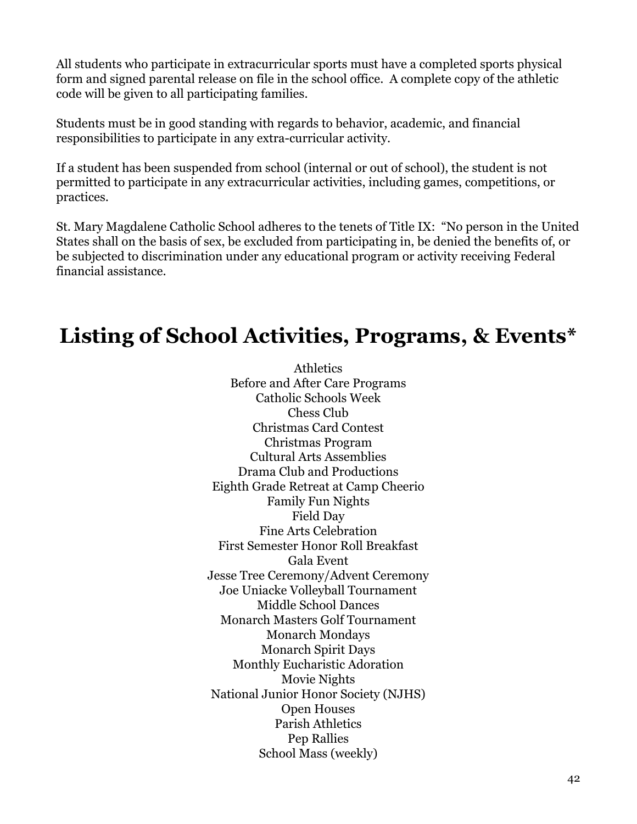All students who participate in extracurricular sports must have a completed sports physical form and signed parental release on file in the school office. A complete copy of the athletic code will be given to all participating families.

Students must be in good standing with regards to behavior, academic, and financial responsibilities to participate in any extra-curricular activity.

If a student has been suspended from school (internal or out of school), the student is not permitted to participate in any extracurricular activities, including games, competitions, or practices.

St. Mary Magdalene Catholic School adheres to the tenets of Title IX: "No person in the United States shall on the basis of sex, be excluded from participating in, be denied the benefits of, or be subjected to discrimination under any educational program or activity receiving Federal financial assistance.

### <span id="page-41-0"></span>**Listing of School Activities, Programs, & Events\***

**Athletics** Before and After Care Programs Catholic Schools Week Chess Club Christmas Card Contest Christmas Program Cultural Arts Assemblies Drama Club and Productions Eighth Grade Retreat at Camp Cheerio Family Fun Nights Field Day Fine Arts Celebration First Semester Honor Roll Breakfast Gala Event Jesse Tree Ceremony/Advent Ceremony Joe Uniacke Volleyball Tournament Middle School Dances Monarch Masters Golf Tournament Monarch Mondays Monarch Spirit Days Monthly Eucharistic Adoration Movie Nights National Junior Honor Society (NJHS) Open Houses Parish Athletics Pep Rallies School Mass (weekly)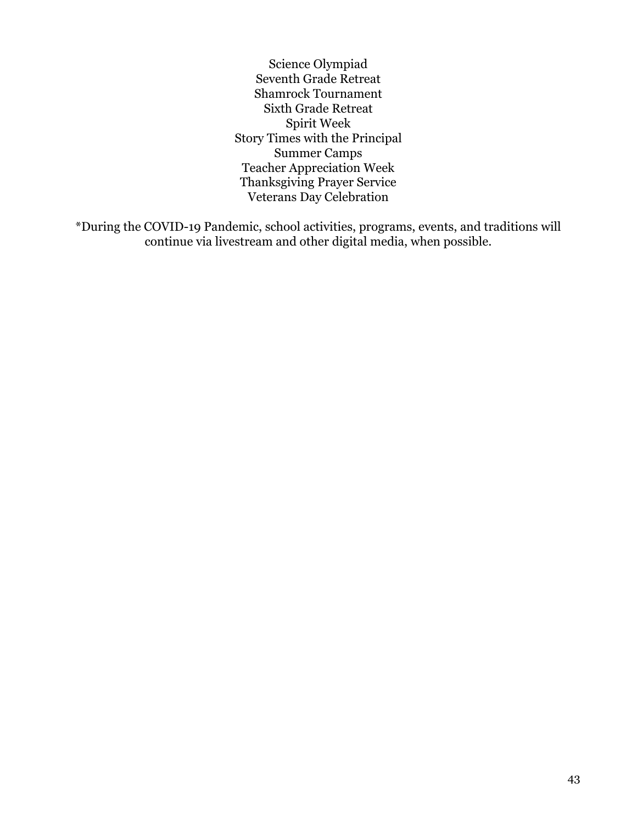Science Olympiad Seventh Grade Retreat Shamrock Tournament Sixth Grade Retreat Spirit Week Story Times with the Principal Summer Camps Teacher Appreciation Week Thanksgiving Prayer Service Veterans Day Celebration

\*During the COVID-19 Pandemic, school activities, programs, events, and traditions will continue via livestream and other digital media, when possible.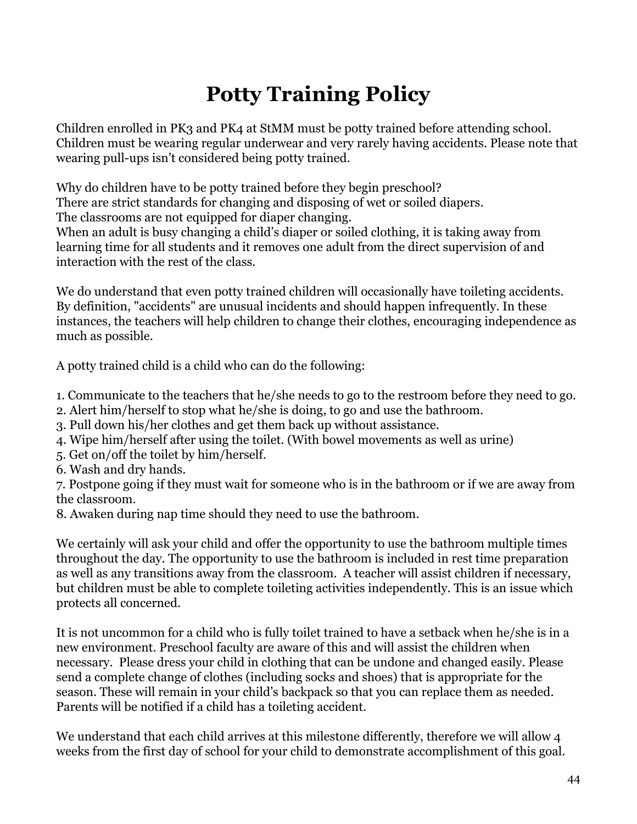# **Potty Training Policy**

<span id="page-43-0"></span>Children enrolled in PK3 and PK4 at StMM must be potty trained before attending school. Children must be wearing regular underwear and very rarely having accidents. Please note that wearing pull-ups isn't considered being potty trained.

Why do children have to be potty trained before they begin preschool?

There are strict standards for changing and disposing of wet or soiled diapers.

The classrooms are not equipped for diaper changing.

When an adult is busy changing a child's diaper or soiled clothing, it is taking away from learning time for all students and it removes one adult from the direct supervision of and interaction with the rest of the class.

We do understand that even potty trained children will occasionally have toileting accidents. By definition, "accidents" are unusual incidents and should happen infrequently. In these instances, the teachers will help children to change their clothes, encouraging independence as much as possible.

A potty trained child is a child who can do the following:

- 1. Communicate to the teachers that he/she needs to go to the restroom before they need to go.
- 2. Alert him/herself to stop what he/she is doing, to go and use the bathroom.
- 3. Pull down his/her clothes and get them back up without assistance.
- 4. Wipe him/herself after using the toilet. (With bowel movements as well as urine)
- 5. Get on/off the toilet by him/herself.
- 6. Wash and dry hands.

7. Postpone going if they must wait for someone who is in the bathroom or if we are away from the classroom.

8. Awaken during nap time should they need to use the bathroom.

We certainly will ask your child and offer the opportunity to use the bathroom multiple times throughout the day. The opportunity to use the bathroom is included in rest time preparation as well as any transitions away from the classroom. A teacher will assist children if necessary, but children must be able to complete toileting activities independently. This is an issue which protects all concerned.

It is not uncommon for a child who is fully toilet trained to have a setback when he/she is in a new environment. Preschool faculty are aware of this and will assist the children when necessary. Please dress your child in clothing that can be undone and changed easily. Please send a complete change of clothes (including socks and shoes) that is appropriate for the season. These will remain in your child's backpack so that you can replace them as needed. Parents will be notified if a child has a toileting accident.

We understand that each child arrives at this milestone differently, therefore we will allow 4 weeks from the first day of school for your child to demonstrate accomplishment of this goal.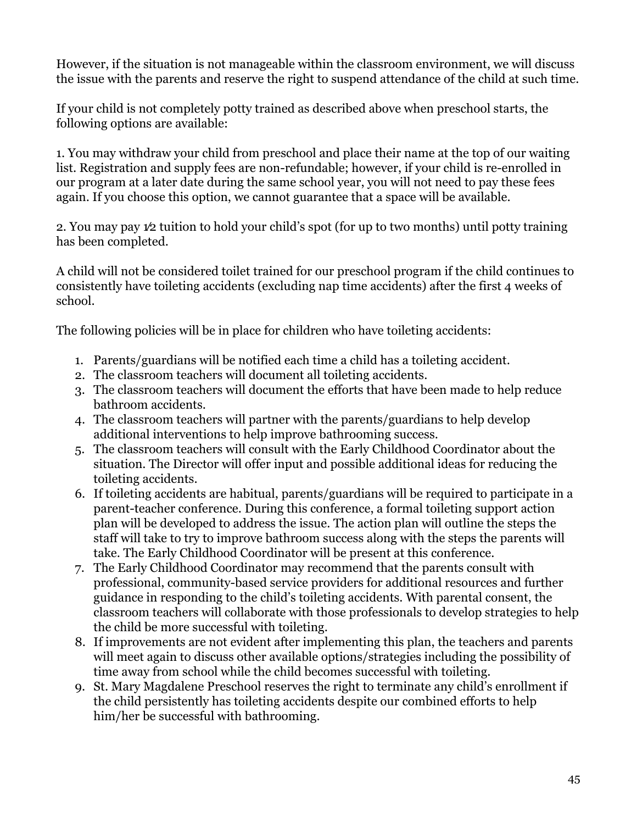However, if the situation is not manageable within the classroom environment, we will discuss the issue with the parents and reserve the right to suspend attendance of the child at such time.

If your child is not completely potty trained as described above when preschool starts, the following options are available:

1. You may withdraw your child from preschool and place their name at the top of our waiting list. Registration and supply fees are non-refundable; however, if your child is re-enrolled in our program at a later date during the same school year, you will not need to pay these fees again. If you choose this option, we cannot guarantee that a space will be available.

2. You may pay 1⁄2 tuition to hold your child's spot (for up to two months) until potty training has been completed.

A child will not be considered toilet trained for our preschool program if the child continues to consistently have toileting accidents (excluding nap time accidents) after the first 4 weeks of school.

The following policies will be in place for children who have toileting accidents:

- 1. Parents/guardians will be notified each time a child has a toileting accident.
- 2. The classroom teachers will document all toileting accidents.
- 3. The classroom teachers will document the efforts that have been made to help reduce bathroom accidents.
- 4. The classroom teachers will partner with the parents/guardians to help develop additional interventions to help improve bathrooming success.
- 5. The classroom teachers will consult with the Early Childhood Coordinator about the situation. The Director will offer input and possible additional ideas for reducing the toileting accidents.
- 6. If toileting accidents are habitual, parents/guardians will be required to participate in a parent-teacher conference. During this conference, a formal toileting support action plan will be developed to address the issue. The action plan will outline the steps the staff will take to try to improve bathroom success along with the steps the parents will take. The Early Childhood Coordinator will be present at this conference.
- 7. The Early Childhood Coordinator may recommend that the parents consult with professional, community-based service providers for additional resources and further guidance in responding to the child's toileting accidents. With parental consent, the classroom teachers will collaborate with those professionals to develop strategies to help the child be more successful with toileting.
- 8. If improvements are not evident after implementing this plan, the teachers and parents will meet again to discuss other available options/strategies including the possibility of time away from school while the child becomes successful with toileting.
- 9. St. Mary Magdalene Preschool reserves the right to terminate any child's enrollment if the child persistently has toileting accidents despite our combined efforts to help him/her be successful with bathrooming.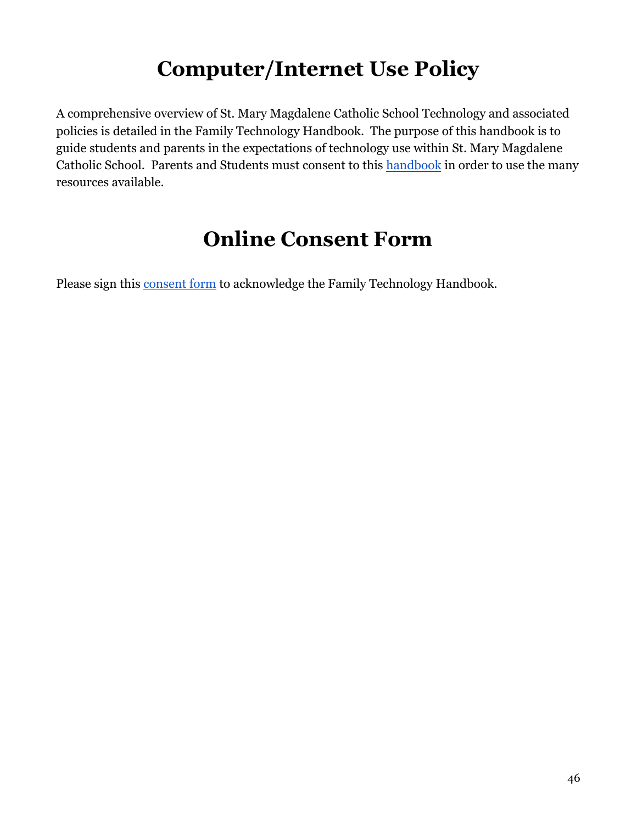## **Computer/Internet Use Policy**

<span id="page-45-0"></span>A comprehensive overview of St. Mary Magdalene Catholic School Technology and associated policies is detailed in the Family Technology Handbook. The purpose of this handbook is to guide students and parents in the expectations of technology use within St. Mary Magdalene Catholic School. Parents and Students must consent to this [handbook](https://docs.google.com/document/d/e/2PACX-1vRTlgyERPF9aa6BJ5lCYpYjLm9filXvPGSrcUHVN2xZLC66FsE1QO3krcyY8VSh3flXARTlkIXCqR__/pub) in order to use the many resources available.

### **Online Consent Form**

<span id="page-45-1"></span>Please sign this [consent form](https://forms.gle/vFgfweudcc11xuzu6) to acknowledge the Family Technology Handbook.